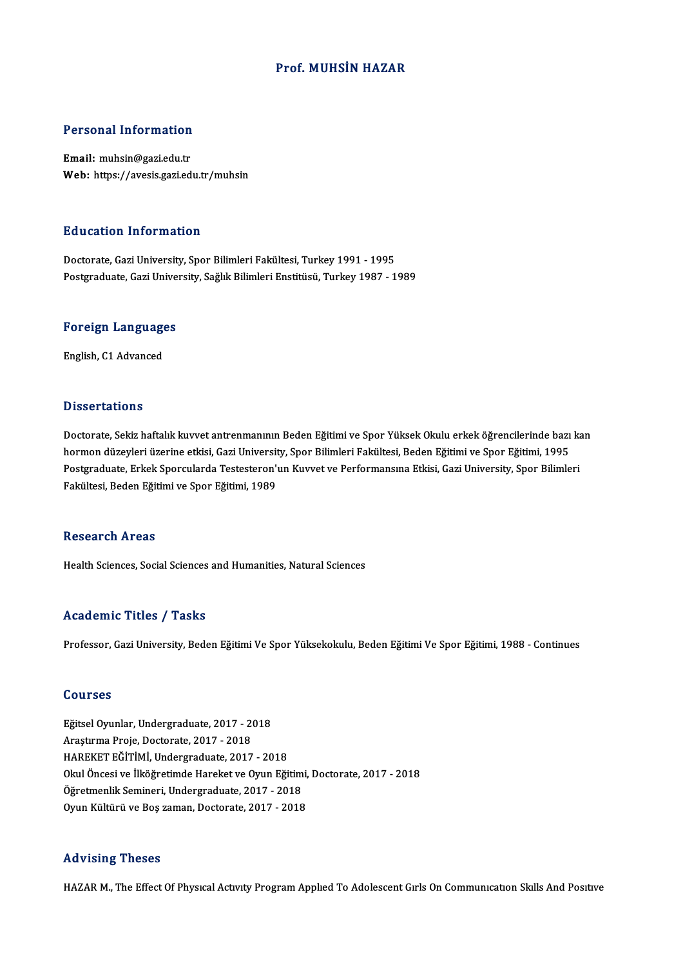#### Prof.MUHSİN HAZAR

#### Personal Information

Email: muhsin@gazi.edu.tr Web: https://avesis.gazi.edu.tr/muhsin

#### Education Information

Doctorate, Gazi University, Spor Bilimleri Fakültesi, Turkey 1991 - 1995 Postgraduate, Gazi University, Sağlık Bilimleri Enstitüsü, Turkey 1987 - 1989

### <sub>Postgraduate, Gazi Unive<br>Foreign Languages</sub> <mark>Foreign Language</mark><br>English, C1 Advanced

English, C1 Advanced<br>Dissertations

Dissertations<br>Doctorate, Sekiz haftalık kuvvet antrenmanının Beden Eğitimi ve Spor Yüksek Okulu erkek öğrencilerinde bazı kan<br>harman düzeyleri üzerine etkisi, Cari University, Spor Bilimleri Fekültesi, Beden Eğitimi ve Spo Bassea tatromo<br>Doctorate, Sekiz haftalık kuvvet antrenmanının Beden Eğitimi ve Spor Yüksek Okulu erkek öğrencilerinde bazı<br>Dostaraduate, Erkek Sporcularda Testesteren'un Kuyvet ve Berformansına Etkisi, Cazi University, Spo Doctorate, Sekiz haftalık kuvvet antrenmanının Beden Eğitimi ve Spor Yüksek Okulu erkek öğrencilerinde bazı ka<br>hormon düzeyleri üzerine etkisi, Gazi University, Spor Bilimleri Fakültesi, Beden Eğitimi ve Spor Eğitimi, 1995 hormon düzeyleri üzerine etkisi, Gazi University, Spor Bilimleri Fakültesi, Beden Eğitimi ve Spor Eğitimi, 1995<br>Postgraduate, Erkek Sporcularda Testesteron'un Kuvvet ve Performansına Etkisi, Gazi University, Spor Bilimleri

#### **Research Areas**

Health Sciences, Social Sciences and Humanities, Natural Sciences

#### Academic Titles / Tasks

Professor, Gazi University, Beden Eğitimi Ve Spor Yüksekokulu, Beden Eğitimi Ve Spor Eğitimi, 1988 - Continues

#### Courses

**Courses<br>Eğitsel Oyunlar, Undergraduate, 2017 - 2018<br>Arastuma Proja Desterate, 2017 - 2018** SSATSSS<br>Eğitsel Oyunlar, Undergraduate, 2017 - 20<br>Araştırma Proje, Doctorate, 2017 - 2018<br>HAREKET EĞİTİMİ Undergraduata, 2017 Araştırma Proje, Doctorate, 2017 - 2018<br>HAREKET EĞİTİMİ, Undergraduate, 2017 - 2018 Araştırma Proje, Doctorate, 2017 - 2018<br>HAREKET EĞİTİMİ, Undergraduate, 2017 - 2018<br>Okul Öncesi ve İlköğretimde Hareket ve Oyun Eğitimi, Doctorate, 2017 - 2018<br>Öğretmenlik Semineri, Undergraduate, 2017 - 2018 HAREKET EĞİTİMİ, Undergraduate, 2017 - 2018<br>Okul Öncesi ve İlköğretimde Hareket ve Oyun Eğitim<br>Öğretmenlik Semineri, Undergraduate, 2017 - 2018<br>Orun Kültürü ve Bos zaman, Dostarate, 2017 - 2018 Okul Öncesi ve İlköğretimde Hareket ve Oyun Eğitimi,<br>Öğretmenlik Semineri, Undergraduate, 2017 - 2018<br>Oyun Kültürü ve Boş zaman, Doctorate, 2017 - 2018 Oyun Kültürü ve Boş zaman, Doctorate, 2017 - 2018<br>Advising Theses

HAZAR M., The Effect Of Physical Activity Program Applied To Adolescent Girls On Communication Skills And Positive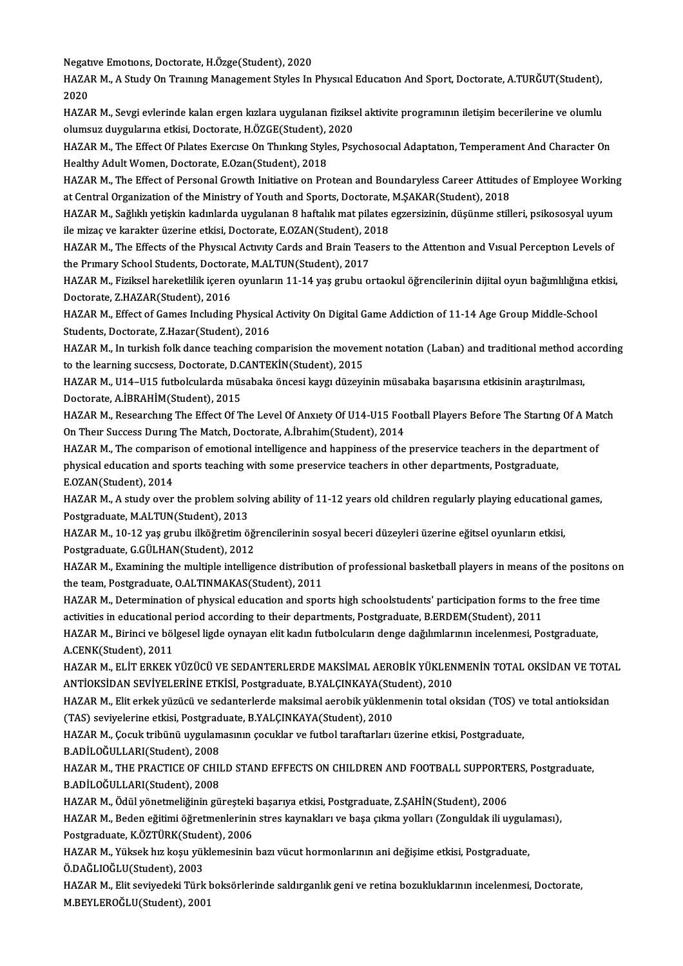Negatıve Emotıons, Doctorate, H.Özge(Student), 2020<br>HAZAR M. A Study On Traynus Managamant Styles In

HAZAR M., A Study On Traınıng Management Styles In Physıcal Educatıon And Sport, Doctorate, A.TURĞUT(Student),<br>2020 Negat<br>HAZA<br>2020<br>HAZA HAZAR M., A Study On Trammg Management Styles In Physical Education And Sport, Doctorate, A.TURĞUT(Student),<br>2020<br>HAZAR M., Sevgi evlerinde kalan ergen kızlara uygulanan fiziksel aktivite programının iletişim becerilerine

2020<br>HAZAR M., Sevgi evlerinde kalan ergen kızlara uygulanan fizikse<br>olumsuz duygularına etkisi, Doctorate, H.ÖZGE(Student), 2020<br>HAZAR M. The Effect Of Pulates Exercise On Thinking Stries, Per HAZAR M., Sevgi evlerinde kalan ergen kızlara uygulanan fiziksel aktivite programının iletişim becerilerine ve olumlu<br>olumsuz duygularına etkisi, Doctorate, H.ÖZGE(Student), 2020<br>HAZAR M., The Effect Of Pılates Exercıse On

olumsuz duygularına etkisi, Doctorate, H.ÖZGE(Student), 2020<br>HAZAR M., The Effect Of Pilates Exercise On Thinking Styles, Ps:<br>Healthy Adult Women, Doctorate, E.Ozan(Student), 2018 HAZAR M., The Effect Of Pilates Exercise On Thinking Styles, Psychosocial Adaptation, Temperament And Character On<br>Healthy Adult Women, Doctorate, E.Ozan(Student), 2018<br>HAZAR M., The Effect of Personal Growth Initiative on

HAZAR M., The Effect of Personal Growth Initiative on Protean and Boundaryless Career Attitudes of Employee Working<br>at Central Organization of the Ministry of Youth and Sports, Doctorate, M.SAKAR(Student), 2018 HAZAR M., The Effect of Personal Growth Initiative on Protean and Boundaryless Career Attitudes of Employee Working<br>at Central Organization of the Ministry of Youth and Sports, Doctorate, M.ŞAKAR(Student), 2018<br>HAZAR M., S

at Central Organization of the Ministry of Youth and Sports, Doctorate,<br>HAZAR M., Sağlıklı yetişkin kadınlarda uygulanan 8 haftalık mat pilates<br>ile mizaç ve karakter üzerine etkisi, Doctorate, E.OZAN(Student), 2018<br>HAZAR M HAZAR M., Sağlıklı yetişkin kadınlarda uygulanan 8 haftalık mat pilates egzersizinin, düşünme stilleri, psikososyal uyum<br>ile mizaç ve karakter üzerine etkisi, Doctorate, E.OZAN(Student), 2018<br>HAZAR M., The Effects of the P

ile mizaç ve karakter üzerine etkisi, Doctorate, E.OZAN(Student), 2018<br>HAZAR M., The Effects of the Physical Activity Cards and Brain Teasers to the Attention and Visual Perception Levels of<br>the Primary School Students, Do HAZAR M., The Effects of the Physical Activity Cards and Brain Teasers to the Attention and Visual Perception Levels of<br>the Primary School Students, Doctorate, M.ALTUN(Student), 2017<br>HAZAR M., Fiziksel hareketlilik içeren

the Primary School Students, Doctorate<br>HAZAR M., Fiziksel hareketlilik içeren<br>Doctorate, Z.HAZAR(Student), 2016<br>HAZAR M., Effect of Cames Including HAZAR M., Fiziksel hareketlilik içeren oyunların 11-14 yaş grubu ortaokul öğrencilerinin dijital oyun bağımlılığına et<br>Doctorate, Z.HAZAR(Student), 2016<br>HAZAR M., Effect of Games Including Physical Activity On Digital Game

Doctorate, Z.HAZAR(Student), 2016<br>HAZAR M., Effect of Games Including Physical<br>Students, Doctorate, Z.Hazar(Student), 2016<br>HAZAR M. In turkish folk danga tagahing som HAZAR M., Effect of Games Including Physical Activity On Digital Game Addiction of 11-14 Age Group Middle-School<br>Students, Doctorate, Z.Hazar(Student), 2016<br>HAZAR M., In turkish folk dance teaching comparision the movement

Students, Doctorate, Z.Hazar(Student), 2016<br>HAZAR M., In turkish folk dance teaching comparision the movem<br>to the learning succsess, Doctorate, D.CANTEKİN(Student), 2015<br>HAZAR M. 1114, 1115 futbolaylarda müsebelis önsesi k HAZAR M., In turkish folk dance teaching comparision the movement notation (Laban) and traditional method according<br>to the learning succsess, Doctorate, D.CANTEKİN(Student), 2015<br>HAZAR M., U14–U15 futbolcularda müsabaka ön

to the learning succsess, Doctorate, D.C<br>HAZAR M., U14–U15 futbolcularda müs<br>Doctorate, A.İBRAHİM(Student), 2015<br>HAZAR M. Researsbug The Effect Of T

HAZAR M., Researching The Effect Of The Level Of Anxiety Of U14-U15 Football Players Before The Starting Of A Match On Their Success During The Match, Doctorate, A.İbrahim(Student), 2014 HAZAR M., Researching The Effect Of The Level Of Anxiety Of U14-U15 Football Players Before The Starting Of A Ma<br>On Their Success During The Match, Doctorate, A.İbrahim(Student), 2014<br>HAZAR M., The comparison of emotional

On Their Success During The Match, Doctorate, A.İbrahim(Student), 2014<br>HAZAR M., The comparison of emotional intelligence and happiness of the preservice teachers in the depar<br>physical education and sports teaching with so HAZAR M., The comparis<br>physical education and s<br>E.OZAN(Student), 2014 physical education and sports teaching with some preservice teachers in other departments, Postgraduate,<br>E.OZAN(Student), 2014<br>HAZAR M., A study over the problem solving ability of 11-12 years old children regularly playin

Postgraduate, M.ALTUN(Student), 2013 HAZAR M., A study over the problem solving ability of 11-12 years old children regularly playing educational<br>Postgraduate, M.ALTUN(Student), 2013<br>HAZAR M., 10-12 yaş grubu ilköğretim öğrencilerinin sosyal beceri düzeyleri

Postgraduate, M.ALTUN(Student), 2013<br>HAZAR M., 10-12 yaş grubu ilköğretim öğı<br>Postgraduate, G.GÜLHAN(Student), 2012<br>HAZAR M. Evemining the multiple intellige HAZAR M., 10-12 yaş grubu ilköğretim öğrencilerinin sosyal beceri düzeyleri üzerine eğitsel oyunların etkisi,<br>Postgraduate, G.GÜLHAN(Student), 2012<br>HAZAR M., Examining the multiple intelligence distribution of professional

Postgraduate, G.GÜLHAN(Student), 2012<br>HAZAR M., Examining the multiple intelligence distributic<br>the team, Postgraduate, O.ALTINMAKAS(Student), 2011<br>HAZAR M. Determination of physical education and spot HAZAR M., Examining the multiple intelligence distribution of professional basketball players in means of the positon<br>the team, Postgraduate, O.ALTINMAKAS(Student), 2011<br>HAZAR M., Determination of physical education and sp

the team, Postgraduate, O.ALTINMAKAS(Student), 2011<br>HAZAR M., Determination of physical education and sports high schoolstudents' participation forms to t<br>activities in educational period according to their departments, Po HAZAR M., Determination of physical education and sports high schoolstudents' participation forms to the free time<br>activities in educational period according to their departments, Postgraduate, B.ERDEM(Student), 2011<br>HAZAR

activities in educational<br>HAZAR M., Birinci ve böl<br>A.CENK(Student), 2011<br>HAZAR M., ELİT ERKEK Y HAZAR M., Birinci ve bölgesel ligde oynayan elit kadın futbolcuların denge dağılımlarının incelenmesi, Postgraduate,<br>A.CENK(Student), 2011<br>HAZAR M., ELİT ERKEK YÜZÜCÜ VE SEDANTERLERDE MAKSİMAL AEROBİK YÜKLENMENİN TOTAL OKS

A.CENK(Student), 2011<br>HAZAR M., ELİT ERKEK YÜZÜCÜ VE SEDANTERLERDE MAKSİMAL AEROBİK YÜKLEN<br>ANTİOKSİDAN SEVİYELERİNE ETKİSİ, Postgraduate, B.YALÇINKAYA(Student), 2010<br>HAZAR M. Elit orkok vüzücü ve sedanterlerde maksimal aer HAZAR M., ELİT ERKEK YÜZÜCÜ VE SEDANTERLERDE MAKSİMAL AEROBİK YÜKLENMENİN TOTAL OKSİDAN VE TOTAL<br>ANTİOKSİDAN SEVİYELERİNE ETKİSİ, Postgraduate, B.YALÇINKAYA(Student), 2010<br>HAZAR M., Elit erkek yüzücü ve sedanterlerde maksi

ANTİOKSİDAN SEVİYELERİNE ETKİSİ, Postgraduate, B.YALÇINKAYA(Stu<br>HAZAR M., Elit erkek yüzücü ve sedanterlerde maksimal aerobik yüklenı<br>(TAS) seviyelerine etkisi, Postgraduate, B.YALÇINKAYA(Student), 2010<br>HAZAR M. Cosuk trib HAZAR M., Elit erkek yüzücü ve sedanterlerde maksimal aerobik yüklenmenin total oksidan (TOS) ve (TAS) seviyelerine etkisi, Postgraduate, B.YALÇINKAYA(Student), 2010<br>HAZAR M., Çocuk tribünü uygulamasının çocuklar ve futbol

(TAS) seviyelerine etkisi, Postgrad<br>HAZAR M., Çocuk tribünü uygulam<br>B.ADİLOĞULLARI(Student), 2008<br>HAZAR M., THE PRACTICE OF CHII

HAZAR M., Çocuk tribünü uygulamasının çocuklar ve futbol taraftarları üzerine etkisi, Postgraduate,<br>B.ADİLOĞULLARI(Student), 2008<br>HAZAR M., THE PRACTICE OF CHILD STAND EFFECTS ON CHILDREN AND FOOTBALL SUPPORTERS, Postgradu B.ADİLOĞULLARI(Student), 2008<br>HAZAR M., THE PRACTICE OF CHILD STAND EFFECTS ON CHILDREN AND FOOTBALL SUPPORT<br>B.ADİLOĞULLARI(Student), 2008<br>HAZAR M., Ödül vönetmeliğinin güresteki basarıva etkisi, Postgraduate, Z.SAHİN(Stud HAZAR M., THE PRACTICE OF CHILD STAND EFFECTS ON CHILDREN AND FOOTBALL SUPPORTI<br>B.ADİLOĞULLARI(Student), 2008<br>HAZAR M., Ödül yönetmeliğinin güreşteki başarıya etkisi, Postgraduate, Z.ŞAHİN(Student), 2006<br>HAZAR M., Ödül yön

B.ADİLOĞULLARI(Student), 2008<br>HAZAR M., Ödül yönetmeliğinin güreşteki başarıya etkisi, Postgraduate, Z.ŞAHİN(Student), 2006<br>HAZAR M., Beden eğitimi öğretmenlerinin stres kaynakları ve başa çıkma yolları (Zonguldak ili uygu HAZAR M., Ödül yönetmeliğinin güreşteki<br>HAZAR M., Beden eğitimi öğretmenlerinin<br>Postgraduate, K.ÖZTÜRK(Student), 2006<br>HAZAR M. Vülsek bu kesu vüldemesinin HAZAR M., Beden eğitimi öğretmenlerinin stres kaynakları ve başa çıkma yolları (Zonguldak ili uygula<br>Postgraduate, K.ÖZTÜRK(Student), 2006<br>HAZAR M., Yüksek hız koşu yüklemesinin bazı vücut hormonlarının ani değişime etkisi

Postgraduate, K.ÖZTÜRK(Stude<br>HAZAR M., Yüksek hız koşu yül<br>Ö.DAĞLIOĞLU(Student), 2003<br>HAZAR M. Elit seriyedeki Türk HAZAR M., Yüksek hız koşu yüklemesinin bazı vücut hormonlarının ani değişime etkisi, Postgraduate,<br>Ö.DAĞLIOĞLU(Student), 2003<br>HAZAR M., Elit seviyedeki Türk boksörlerinde saldırganlık geni ve retina bozukluklarının incelen

Ö.DAĞLIOĞLU(Student), 2003<br>HAZAR M., Elit seviyedeki Türk l<br>M.BEYLEROĞLU(Student), 2001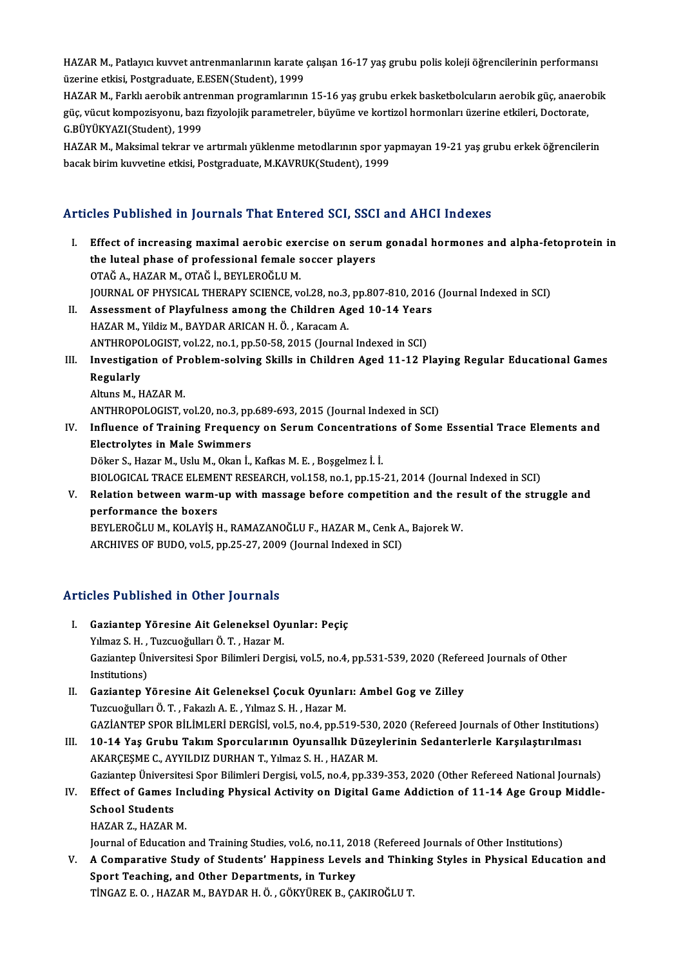HAZAR M., Patlayıcı kuvvet antrenmanlarının karate çalışan 16-17 yaş grubu polis koleji öğrencilerinin performansı<br>Ölemine etkişi Pestanadusta E.ESEN(Student), 1999 HAZAR M., Patlayıcı kuvvet antrenmanlarının karate<br>üzerine etkisi, Postgraduate, E.ESEN(Student), 1999<br>HAZAR M. Farldi asrabil: antranman pragramlarının HAZAR M., Patlayıcı kuvvet antrenmanlarının karate çalışan 16-17 yaş grubu polis koleji öğrencilerinin performansı<br>üzerine etkisi, Postgraduate, E.ESEN(Student), 1999<br>HAZAR M., Farklı aerobik antrenman programlarının 15-16

üzerine etkisi, Postgraduate, E.ESEN(Student), 1999<br>HAZAR M., Farklı aerobik antrenman programlarının 15-16 yaş grubu erkek basketbolcuların aerobik güç, anaero<br>güç, vücut kompozisyonu, bazı fizyolojik parametreler, büyüme HAZAR M., Farklı aerobik antre<br>güç, vücut kompozisyonu, bazı<br>G.BÜYÜKYAZI(Student), 1999<br>HAZAR M. Maksimal tektar ve güç, vücut kompozisyonu, bazı fizyolojik parametreler, büyüme ve kortizol hormonları üzerine etkileri, Doctorate,<br>G.BÜYÜKYAZI(Student), 1999<br>HAZAR M., Maksimal tekrar ve artırmalı yüklenme metodlarının spor yapmayan 19-21

G.BÜYÜKYAZI(Student), 1999<br>HAZAR M., Maksimal tekrar ve artırmalı yüklenme metodlarının spor ya<br>bacak birim kuvvetine etkisi, Postgraduate, M.KAVRUK(Student), 1999

## bacak birim kuvvetine etkisi, Postgraduate, M.KAVRUK(Student), 1999<br>Articles Published in Journals That Entered SCI, SSCI and AHCI Indexes

rticles Published in Journals That Entered SCI, SSCI and AHCI Indexes<br>I. Effect of increasing maximal aerobic exercise on serum gonadal hormones and alpha-fetoprotein in<br>the luted phase of professional famele sesser player Effect of increasing maximal aerobic exercise on serunthe luteal phase of professional female soccer players<br> $QTA\overset{\star}{C}A$ , HAZAR M,  $QTA\overset{\star}{C}$  i, BEVI EDOČI II M the luteal phase of professional female soccer players<br>OTAĞ A., HAZAR M., OTAĞ İ., BEYLEROĞLU M. JOURNAL OF PHYSICAL THERAPY SCIENCE, vol.28, no.3, pp.807-810, 2016 (Journal Indexed in SCI) II. Assessment of Playfulness among the Children Aged 10-14 Years HAZAR M., Yildiz M., BAYDAR ARICAN H. Ö., Karacam A. Assessment of Playfulness among the Children Aged 10-14 Years<br>HAZAR M., Yildiz M., BAYDAR ARICAN H. Ö. , Karacam A.<br>ANTHROPOLOGIST, vol.22, no.1, pp.50-58, 2015 (Journal Indexed in SCI)<br>Investigation of Brahlam solving Ski HAZAR M., Yildiz M., BAYDAR ARICAN H. Ö. , Karacam A.<br>ANTHROPOLOGIST, vol.22, no.1, pp.50-58, 2015 (Journal Indexed in SCI)<br>III. Investigation of Problem-solving Skills in Children Aged 11-12 Playing Regular Educational Ga ANTHROPO<br>Investigati<br>Regularly<br>Alturs M. H **Investigation of Pr<br>Regularly<br>Altuns M., HAZAR M.<br>ANTUPOPOLOCIST Y** Regularly<br>Altuns M., HAZAR M.<br>ANTHROPOLOGIST, vol.20, no.3, pp.689-693, 2015 (Journal Indexed in SCI) Altuns M., HAZAR M.<br>ANTHROPOLOGIST, vol.20, no.3, pp.689-693, 2015 (Journal Indexed in SCI)<br>IV. Influence of Training Frequency on Serum Concentrations of Some Essential Trace Elements and<br>Electrolytes in Male Syrimmers ANTHROPOLOGIST, vol.20, no.3, pp<br>Influence of Training Frequence<br>Electrolytes in Male Swimmers Electrolytes in Male Swimmers<br>Döker S., Hazar M., Uslu M., Okan İ., Kafkas M. E. , Boşgelmez İ. İ. Electrolytes in Male Swimmers<br>Döker S., Hazar M., Uslu M., Okan İ., Kafkas M. E. , Boşgelmez İ. İ.<br>BIOLOGICAL TRACE ELEMENT RESEARCH, vol.158, no.1, pp.15-21, 2014 (Journal Indexed in SCI)<br>Belation between werm un with mas Döker S., Hazar M., Uslu M., Okan İ., Kafkas M. E. , Boşgelmez İ. İ.<br>BIOLOGICAL TRACE ELEMENT RESEARCH, vol.158, no.1, pp.15-21, 2014 (Journal Indexed in SCI)<br>V. Relation between warm-up with massage before competition and **BIOLOGICAL TRACE ELEME<br>Relation between warm-<br>performance the boxers<br>PEVI EDOČLUM, KOLAVIS L** Relation between warm-up with massage before competition and the reperformance the boxers<br>BEYLEROĞLU M., KOLAYİŞ H., RAMAZANOĞLU F., HAZAR M., Cenk A., Bajorek W.<br>ARCHIVES OF PUDO vel 5. pp.25.27.2000 (Jaurnal Indeved in S performance the boxers<br>BEYLEROĞLU M., KOLAYİŞ H., RAMAZANOĞLU F., HAZAR M., Cenk A., Bajorek W.<br>ARCHIVES OF BUDO, vol.5, pp.25-27, 2009 (Journal Indexed in SCI)

### Articles Published in Other Journals

- I. Gaziantep Yöresine Ait Geleneksel Oyunlar: Peçiç Yılmaz S.H., Tuzcuoğulları Ö.T., Hazar M. Gaziantep Yöresine Ait Geleneksel Oyunlar: Peçiç<br>Yılmaz S. H. , Tuzcuoğulları Ö. T. , Hazar M.<br>Gaziantep Üniversitesi Spor Bilimleri Dergisi, vol.5, no.4, pp.531-539, 2020 (Refereed Journals of Other<br>Institutions) Yılmaz S. H. ,<br>Gaziantep Ün<br>Institutions)<br>Cazianten V Gaziantep Üniversitesi Spor Bilimleri Dergisi, vol.5, no.4, pp.531-539, 2020 (Refer<br>Institutions)<br>II. Gaziantep Yöresine Ait Geleneksel Çocuk Oyunları: Ambel Gog ve Zilley<br>Tuzcueğulları Ö.T. Fakarlı A.E. Yılmaz S.H. Hazar
- Institutions)<br>II. Gaziantep Yöresine Ait Geleneksel Çocuk Oyunları: Ambel Gog ve Zilley<br>Tuzcuoğulları Ö. T. , Fakazlı A. E. , Yılmaz S. H. , Hazar M. Gaziantep Yöresine Ait Geleneksel Çocuk Oyunları: Ambel Gog ve Zilley<br>Tuzcuoğulları Ö. T. , Fakazlı A. E. , Yılmaz S. H. , Hazar M.<br>GAZİANTEP SPOR BİLİMLERİ DERGİSİ, vol.5, no.4, pp.519-530, 2020 (Refereed Journals of Othe Tuzcuoğulları Ö. T. , Fakazlı A. E. , Yılmaz S. H. , Hazar M.<br>GAZİANTEP SPOR BİLİMLERİ DERGİSİ, vol.5, no.4, pp.519-530, 2020 (Refereed Journals of Other Institutio<br>III. 10-14 Yaş Grubu Takım Sporcularının Oyunsallık Düzey
- GAZİANTEP SPOR BİLİMLERİ DERGİSİ, vol.5, no.4, pp.519-530<br>10-14 Yaş Grubu Takım Sporcularının Oyunsallık Düzey<br>AKARÇEŞME C., AYYILDIZ DURHAN T., Yılmaz S. H. , HAZAR M.<br>Cerianten Üniversitesi Spor Bilimleri Dergisi vol.5, III. 10-14 Yaş Grubu Takım Sporcularının Oyunsallık Düzeylerinin Sedanterlerle Karşılaştırılması<br>AKARÇEŞME C., AYYILDIZ DURHAN T., Yılmaz S. H. , HAZAR M.<br>Gaziantep Üniversitesi Spor Bilimleri Dergisi, vol.5, no.4, pp.339-AKARÇEŞME C., AYYILDIZ DURHAN T., Yılmaz S. H. , HAZAR M.<br>Gaziantep Üniversitesi Spor Bilimleri Dergisi, vol.5, no.4, pp.339-353, 2020 (Other Refereed National Journals)<br>IV. Effect of Games Including Physical Activity on D
- Gaziantep Üniversi<br>Effect of Games<br>School Students<br>HAZAR Z. HAZAR Effect of Games Inc<br>School Students<br>HAZAR Z., HAZAR M.<br>Journal of Education School Students<br>HAZAR Z., HAZAR M.<br>Journal of Education and Training Studies, vol.6, no.11, 2018 (Refereed Journals of Other Institutions)

HAZAR Z., HAZAR M.<br>Journal of Education and Training Studies, vol.6, no.11, 2018 (Refereed Journals of Other Institutions)<br>V. A Comparative Study of Students' Happiness Levels and Thinking Styles in Physical Education and<br> Journal of Education and Training Studies, vol.6, no.11, 20<br>A Comparative Study of Students' Happiness Levels<br>Sport Teaching, and Other Departments, in Turkey<br>TINGAZE O, HAZARM, BAYDARH Ö, GÖKVÜREK B, GA A Comparative Study of Students' Happiness Levels and Thinl<br>Sport Teaching, and Other Departments, in Turkey<br>TİNGAZ E. O. , HAZAR M., BAYDAR H. Ö. , GÖKYÜREK B., ÇAKIROĞLU T.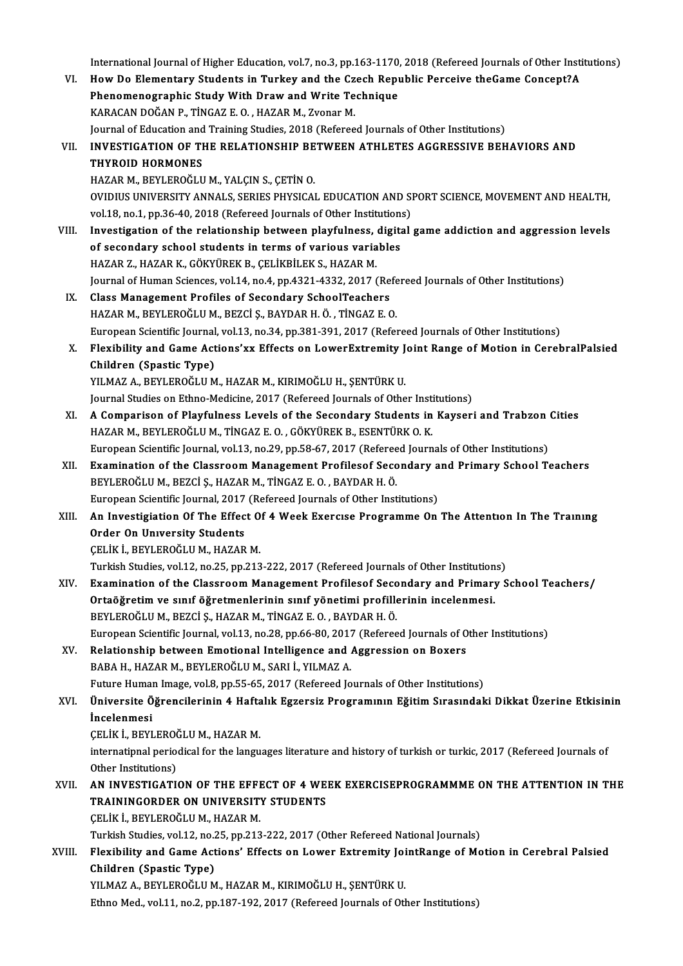International Journal of Higher Education, vol.7, no.3, pp.163-1170, 2018 (Refereed Journals of Other Institutions)<br>How De Flamentary Students in Turkey and the Creeb Bonublic Benseive the Came Consent?A

International Journal of Higher Education, vol.7, no.3, pp.163-1170, 2018 (Refereed Journals of Other Institu<br>VI. How Do Elementary Students in Turkey and the Czech Republic Perceive theGame Concept?A International Journal of Higher Education, vol.7, no.3, pp.163-1170,<br>How Do Elementary Students in Turkey and the Czech Repu<br>Phenomenographic Study With Draw and Write Technique<br>KARAGAN DOČAN B. T<sup>iNGAZ E.O., HAZAR M. Zvon</sup> VI. How Do Elementary Students in Turkey and the Czech Republic Perceive theGame Concept?A<br>Phenomenographic Study With Draw and Write Technique<br>KARACAN DOĞAN P., TİNGAZ E. O. , HAZAR M., Zvonar M. Phenomenographic Study With Draw and Write Technique<br>KARACAN DOĞAN P., TİNGAZ E. O. , HAZAR M., Zvonar M.<br>Journal of Education and Training Studies, 2018 (Refereed Journals of Other Institutions)<br>INVESTIC ATION OF THE PELA KARACAN DOĞAN P., TİNGAZ E. O. , HAZAR M., Zvonar M.<br>Journal of Education and Training Studies, 2018 (Refereed Journals of Other Institutions)<br>VII. INVESTIGATION OF THE RELATIONSHIP BETWEEN ATHLETES AGGRESSIVE BEHAVIOR Journal of Education and<br>INVESTIGATION OF TH<br>THYROID HORMONES<br>HAZAP M PEVI EPOČIJI INVESTIGATION OF THE RELATIONSHIP BE<br>THYROID HORMONES<br>HAZAR M., BEYLEROĞLU M., YALÇIN S., ÇETİN O.<br>OVIDIUS UNIVERSITY ANNALS, SERIES BUYSICA. THYROID HORMONES<br>HAZAR M., BEYLEROĞLU M., YALÇIN S., ÇETİN O.<br>OVIDIUS UNIVERSITY ANNALS, SERIES PHYSICAL EDUCATION AND SPORT SCIENCE, MOVEMENT AND HEALTH, HAZAR M., BEYLEROĞLU M., YALÇIN S., ÇETİN O.<br>OVIDIUS UNIVERSITY ANNALS, SERIES PHYSICAL EDUCATION AND SI<br>vol.18, no.1, pp.36-40, 2018 (Refereed Journals of Other Institutions)<br>Investigation of the relationship between pley OVIDIUS UNIVERSITY ANNALS, SERIES PHYSICAL EDUCATION AND SPORT SCIENCE, MOVEMENT AND HEALTH,<br>vol.18, no.1, pp.36-40, 2018 (Refereed Journals of Other Institutions)<br>VIII. Investigation of the relationship between playfulnes vol.18, no.1, pp.36-40, 2018 (Refereed Journals of Other Institution:<br>Investigation of the relationship between playfulness, digitation<br>of secondary school students in terms of various variables<br>HAZAR Z, HAZAR K, CÖKVÜREK Investigation of the relationship between playfulness,<br>of secondary school students in terms of various varia<br>HAZAR Z., HAZAR K., GÖKYÜREK B., ÇELİKBİLEK S., HAZAR M.<br>Journal of Human Scionces val 14 no 4 nn 4221 4222 2017 of secondary school students in terms of various variables<br>HAZAR Z., HAZAR K., GÖKYÜREK B., ÇELİKBİLEK S., HAZAR M.<br>Journal of Human Sciences, vol.14, no.4, pp.4321-4332, 2017 (Refereed Journals of Other Institutions)<br>Clas HAZAR Z., HAZAR K., GÖKYÜREK B., ÇELİKBİLEK S., HAZAR M.<br>Journal of Human Sciences, vol.14, no.4, pp.4321-4332, 2017 (Refe<br>IX. Class Management Profiles of Secondary SchoolTeachers<br>HAZAR M., BEYLEROĞLU M., BEZCİ Ş., BAYDAR Journal of Human Sciences, vol.14, no.4, pp.4321-4332, 2017 (Refe<br>Class Management Profiles of Secondary SchoolTeachers<br>HAZAR M., BEYLEROĞLU M., BEZCİ Ş., BAYDAR H. Ö. , TİNGAZ E. O.<br>European Scientifis Journal vol.13, no. European Scientific Journal, vol.13, no.34, pp.381-391, 2017 (Refereed Journals of Other Institutions) HAZAR M., BEYLEROĞLU M., BEZCİ Ş., BAYDAR H. Ö. , TİNGAZ E. O.<br>European Scientific Journal, vol.13, no.34, pp.381-391, 2017 (Refereed Journals of Other Institutions)<br>X. Flexibility and Game Actions'xx Effects on LowerExtre European Scientific Journal<br>Flexibility and Game Act<br>Children (Spastic Type)<br>VII MAZ A - BEVI EDOČLLI M Flexibility and Game Actions'xx Effects on LowerExtremity J<br>Children (Spastic Type)<br>YILMAZ A., BEYLEROĞLU M., HAZAR M., KIRIMOĞLU H., ŞENTÜRK U.<br>Journal Studies on Ethne Medisine, 2017 (Befereed Journale of Othe Children (Spastic Type)<br>YILMAZ A., BEYLEROĞLU M., HAZAR M., KIRIMOĞLU H., ŞENTÜRK U.<br>Journal Studies on Ethno-Medicine, 2017 (Refereed Journals of Other Institutions) XI. A Comparison of Playfulness Levels of the Secondary Students in Kayseri and Trabzon Cities HAZAR M., BEYLEROĞLU M., TİNGAZ E. O. , GÖKYÜREK B., ESENTÜRK O. K. European Scientific Journal, vol.13, no.29, pp.58-67, 2017 (Refereed Journals of Other Institutions) HAZAR M., BEYLEROĞLU M., TİNGAZ E. O. , GÖKYÜREK B., ESENTÜRK O. K.<br>European Scientific Journal, vol.13, no.29, pp.58-67, 2017 (Refereed Journals of Other Institutions)<br>XII. Examination of the Classroom Management Profiles European Scientific Journal, vol.13, no.29, pp.58-67, 2017 (Referee<br>Examination of the Classroom Management Profilesof Seco<br>BEYLEROĞLU M., BEZCİ Ş., HAZAR M., TİNGAZ E. O. , BAYDAR H. Ö.<br>European Scientific Journal, 2017 ( Examination of the Classroom Management Profilesof Secondary a<br>BEYLEROĞLU M., BEZCİ Ş., HAZAR M., TİNGAZ E. O. , BAYDAR H. Ö.<br>European Scientific Journal, 2017 (Refereed Journals of Other Institutions)<br>An Investigistion Of BEYLEROĞLU M., BEZCİ Ş., HAZAR M., TİNGAZ E. O. , BAYDAR H. Ö.<br>European Scientific Journal, 2017 (Refereed Journals of Other Institutions)<br>XIII. An Investigiation Of The Effect Of 4 Week Exercise Programme On The Atten Order On Unıversity Students ÇELİKİ.,BEYLEROĞLUM.,HAZARM. Turkish Studies, vol.12, no.25, pp.213-222, 2017 (Refereed Journals of Other Institutions) CELİK İ., BEYLEROĞLU M., HAZAR M.<br>Turkish Studies, vol.12, no.25, pp.213-222, 2017 (Refereed Journals of Other Institutions)<br>XIV. Examination of the Classroom Management Profilesof Secondary and Primary School Teachers Turkish Studies, vol.12, no.25, pp.213-222, 2017 (Refereed Journals of Other Institution<br>Examination of the Classroom Management Profilesof Secondary and Primary<br>Ortaöğretim ve sınıf öğretmenlerinin sınıf yönetimi profille Examination of the Classroom Management Profilesof Seco<br>Ortaöğretim ve sınıf öğretmenlerinin sınıf yönetimi profille<br>BEYLEROĞLUM., BEZCİ Ş., HAZAR M., TİNGAZ E. O. , BAYDAR H. Ö.<br>European Scientific Journal vol.13, no.28, Ortaöğretim ve sınıf öğretmenlerinin sınıf yönetimi profillerinin incelenmesi.<br>BEYLEROĞLU M., BEZCİ Ş., HAZAR M., TİNGAZ E. O. , BAYDAR H. Ö.<br>European Scientific Journal, vol.13, no.28, pp.66-80, 2017 (Refereed Journals of BEYLEROĞLU M., BEZCİ Ş., HAZAR M., TİNGAZ E. O. , BAYDAR H. Ö.<br>European Scientific Journal, vol.13, no.28, pp.66-80, 2017 (Refereed Journals of O<br>XV. Relationship between Emotional Intelligence and Aggression on Boxers<br>BAR European Scientific Journal, vol.13, no.28, pp.66-80, 2017<br>Relationship between Emotional Intelligence and .<br>BABA H., HAZAR M., BEYLEROĞLU M., SARI İ., YILMAZ A.<br>Euture Human Image vol.8, np.55, 65, 2017 (Refereed Io Relationship between Emotional Intelligence and Aggression on Boxers<br>BABA H., HAZAR M., BEYLEROĞLU M., SARI İ., YILMAZ A.<br>Future Human Image, vol.8, pp.55-65, 2017 (Refereed Journals of Other Institutions)<br>Üniversite Öğren BABA H., HAZAR M., BEYLEROĞLU M., SARI İ., YILMAZ A.<br>Future Human Image, vol.8, pp.55-65, 2017 (Refereed Journals of Other Institutions)<br>XVI. Üniversite Öğrencilerinin 4 Haftalık Egzersiz Programının Eğitim Sırasındaki Future Human<br><mark>Üniversite Ö</mark><br>İncelenmesi<br>CELİK İ. PEVI Üniversite Öğrencilerinin 4 Hafta<br>İncelenmesi<br>ÇELİK İ., BEYLEROĞLU M., HAZAR M.<br>internatinnal periodisel for the langu internatipnal periodical for the languages literature and history of turkish or turkic, 2017 (Refereed Journals of Other Institutions) **CELIK I., BEYLERO)**<br>internatipnal perio<br>Other Institutions)<br>AN INVESTIC ATI internatipnal periodical for the languages literature and history of turkish or turkic, 2017 (Refereed Journals of<br>Other Institutions)<br>XVII. AN INVESTIGATION OF THE EFFECT OF 4 WEEK EXERCISEPROGRAMMME ON THE ATTENTION IN T Other Institutions)<br>AN INVESTIGATION OF THE EFFECT OF 4 WE<br>TRAININGORDER ON UNIVERSITY STUDENTS<br>CELIKI, REVLEROČLIJM, HAZAR M AN INVESTIGATION OF THE EFFI<br>TRAININGORDER ON UNIVERSIT<br>ÇELİK İ., BEYLEROĞLU M., HAZAR M.<br>Turkich Studies vol 12, no.25, nn.212 TRAININGORDER ON UNIVERSITY STUDENTS<br>ÇELİK İ., BEYLEROĞLU M., HAZAR M.<br>Turkish Studies, vol.12, no.25, pp.213-222, 2017 (Other Refereed National Journals)<br>Floyibility and Came Astiona' Effects on Lower Eytromity JointBange CELİK İ., BEYLEROĞLU M., HAZAR M.<br>Turkish Studies, vol.12, no.25, pp.213-222, 2017 (Other Refereed National Journals)<br>XVIII. Flexibility and Game Actions' Effects on Lower Extremity JointRange of Motion in Cerebral Pal Turkish Studies, vol.12, no.2<br>Flexibility and Game Act<br>Children (Spastic Type)<br>VII MAZ A. BEVI EDOČI II M Flexibility and Game Actions' Effects on Lower Extremity Joi<br>Children (Spastic Type)<br>YILMAZ A., BEYLEROĞLU M., HAZAR M., KIRIMOĞLU H., ŞENTÜRK U.<br>Ethne Med. vol.1.1, ne.2, nn.187.192.2017 (Refereed Jaunnals of Oth Children (Spastic Type)<br>YILMAZ A., BEYLEROĞLU M., HAZAR M., KIRIMOĞLU H., ŞENTÜRK U.<br>Ethno Med., vol.11, no.2, pp.187-192, 2017 (Refereed Journals of Other Institutions)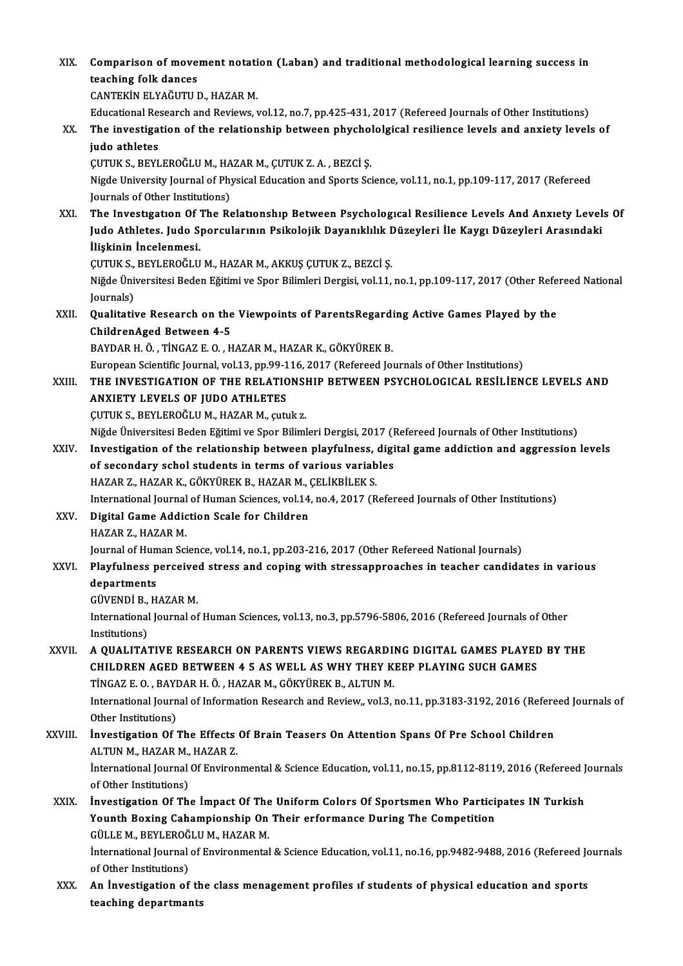XIX. Comparison of movement notation (Laban) and traditional methodological learning success in<br>teaching folk dances **Comparison of move<br>teaching folk dances<br>CANTEVIN ELVAČUTILI** teaching folk dances<br>CANTEKİN ELYAĞUTU D., HAZAR M. teaching folk dances<br>CANTEKIN ELYAĞUTU D., HAZAR M.<br>Educational Research and Reviews, vol.12, no.7, pp.425-431, 2017 (Refereed Journals of Other Institutions)<br>The investigation of the relationship between physhololaisel re XX. The investigation of the relationship between phychololgical resilience levels and anxiety levels of Educational Res<br>The investiga<br>judo athletes<br>CUTUV S. REVI The investigation of the relationship between phycholydo athletes<br>GUTUK S., BEYLEROĞLU M., HAZAR M., ÇUTUK Z. A. , BEZCİ Ş.<br>Nigde University Journal of Physical Education and Sports Sci Nigde University Journal of Physical Education and Sports Science, vol.11, no.1, pp.109-117, 2017 (Refereed Journals of Other Institutions) CUTUK S., BEYLEROĞLU M., HA<br>Nigde University Journal of Phy<br>Journals of Other Institutions)<br>The Investigation Of The Be Nigde University Journal of Physical Education and Sports Science, vol.11, no.1, pp.109-117, 2017 (Refereed<br>Journals of Other Institutions)<br>XXI. The Investigation Of The Relationship Between Psychological Resilience Levels Journals of Other Institutions)<br>The Investigation Of The Relationship Between Psychological Resilience Levels And Anxiety Level<br>Judo Athletes. Judo Sporcularının Psikolojik Dayanıklılık Düzeyleri İle Kaygı Düzeyleri Arasın The Investigation Of I<br>Judo Athletes. Judo S<br>İlişkinin İncelenmesi.<br>CUTUK S. PEVLEROČLU Judo Athletes. Judo Sporcularının Psikolojik Dayanıklılık Düzeyleri İle Kaygı Düzeyleri Arasındaki<br>İlişkinin İncelenmesi.<br>ÇUTUK S., BEYLEROĞLU M., HAZAR M., AKKUŞ ÇUTUK Z., BEZCİ Ş. İlişkinin İncelenmesi.<br>ÇUTUK S., BEYLEROĞLU M., HAZAR M., AKKUŞ ÇUTUK Z., BEZCİ Ş.<br>Niğde Üniversitesi Beden Eğitimi ve Spor Bilimleri Dergisi, vol.11, no.1, pp.109-117, 2017 (Other Refereed National ÇUTUK S.,<br>Niğde Üni<br>Journals)<br>Quelitati Niğde Üniversitesi Beden Eğitimi ve Spor Bilimleri Dergisi, vol.11, no.1, pp.109-117, 2017 (Other Refe<br>Journals)<br>XXII. Qualitative Research on the Viewpoints of ParentsRegarding Active Games Played by the<br>Children Aged Bet Journals)<br>Qualitative Research on the<br>ChildrenAged Between 4-5<br>BAVDARHÖ TİNCAZEO H Qualitative Research on the Viewpoints of ParentsRegardi<br>ChildrenAged Between 4-5<br>BAYDAR H. Ö., TİNGAZ E. O., HAZAR M., HAZAR K., GÖKYÜREK B.<br>European Scientifis Jaurnal val 12, np.90, 116, 2017 (Refereed Jau ChildrenAged Between 4-5<br>BAYDAR H. Ö. , TİNGAZ E. O. , HAZAR M., HAZAR K., GÖKYÜREK B.<br>European Scientific Journal, vol.13, pp.99-116, 2017 (Refereed Journals of Other Institutions)<br>THE INVESTIC ATION OF THE REL ATIONSHIR BAYDAR H. Ö. , TİNGAZ E. O. , HAZAR M., HAZAR K., GÖKYÜREK B.<br>European Scientific Journal, vol.13, pp.99-116, 2017 (Refereed Journals of Other Institutions)<br>XXIII. THE INVESTIGATION OF THE RELATIONSHIP BETWEEN PSYCHOLO European Scientific Journal, vol.13, pp.99-1<br>THE INVESTIGATION OF THE RELATIC<br>ANXIETY LEVELS OF JUDO ATHLETES<br>CUTUK S. REVI EROČUJIM, HAZAR M. GUL THE INVESTIGATION OF THE RELATIONSI<br>ANXIETY LEVELS OF JUDO ATHLETES<br>ÇUTUK S., BEYLEROĞLU M., HAZAR M., çutuk z.<br>Niğde Üniversitesi Beden Eğitimi ve Sper Biliml ANXIETY LEVELS OF JUDO ATHLETES<br>ÇUTUK S., BEYLEROĞLU M., HAZAR M., çutuk z.<br>Niğde Üniversitesi Beden Eğitimi ve Spor Bilimleri Dergisi, 2017 (Refereed Journals of Other Institutions) CUTUK S., BEYLEROĞLU M., HAZAR M., çutuk z.<br>Niğde Üniversitesi Beden Eğitimi ve Spor Bilimleri Dergisi, 2017 (Refereed Journals of Other Institutions)<br>XXIV. Investigation of the relationship between playfulness, digital ga Niğde Üniversitesi Beden Eğitimi ve Spor Bilimleri Dergisi, 2017 (I<br>Investigation of the relationship between playfulness, digi<br>of secondary schol students in terms of various variables<br>HAZAR Z, HAZAR K, CÖKVÜREK R, HAZAR Investigation of the relationship between playfulness,<br>of secondary schol students in terms of various variab<br>HAZAR Z., HAZAR K., GÖKYÜREK B., HAZAR M., ÇELİKBİLEK S.<br>International Journal of Human Ssianses, vol 14, no 4, of secondary schol students in terms of various variables<br>HAZAR Z., HAZAR K., GÖKYÜREK B., HAZAR M., ÇELİKBİLEK S.<br>International Journal of Human Sciences, vol.14, no.4, 2017 (Refereed Journals of Other Institutions)<br>Digit HAZAR Z., HAZAR K., GÖKYÜREK B., HAZAR M., ÇELİKBİLEK S.<br>International Journal of Human Sciences, vol.14, no.4, 2017 (R<br>XXV. Digital Game Addiction Scale for Children<br>HAZAR Z., HAZAR M. International Journal<br><mark>Digital Game Addic</mark><br>HAZAR Z., HAZAR M.<br>Journal of Human Sai Digital Game Addiction Scale for Children<br>HAZAR Z., HAZAR M.<br>Journal of Human Science, vol.14, no.1, pp.203-216, 2017 (Other Refereed National Journals)<br>Playfulness persoived stress and soning with stressennreashes in teac HAZAR Z., HAZAR M.<br>Journal of Human Science, vol.14, no.1, pp.203-216, 2017 (Other Refereed National Journals)<br>XXVI. Playfulness perceived stress and coping with stressapproaches in teacher candidates in various<br>department Journal of Hu<mark>n</mark><br>Playfulness p<br>departments<br>CüvENDi P. H Playfulness perceive<br>departments<br>GÜVENDİ B., HAZAR M.<br>International Iournal of departments<br>GÜVENDİ B., HAZAR M.<br>International Journal of Human Sciences, vol.13, no.3, pp.5796-5806, 2016 (Refereed Journals of Other GÜVENDİ B., HAZAR M.<br>International Journal of<br>Institutions) International Journal of Human Sciences, vol.13, no.3, pp.5796-5806, 2016 (Refereed Journals of Other<br>Institutions)<br>XXVII. A QUALITATIVE RESEARCH ON PARENTS VIEWS REGARDING DIGITAL GAMES PLAYED BY THE<br>CHILDREN ACED BETWEEN A QUALITATIVE RESEARCH ON PARENTS VIEWS REGARDING DIGITAL GAMES PLAYED BY THE CHILDREN AGED BETWEEN 4 5 AS WELL AS WHY THEY KEEP PLAYING SUCH GAMES A QUALITATIVE RESEARCH ON PARENTS VIEWS REGARDI<br>CHILDREN AGED BETWEEN 4 5 AS WELL AS WHY THEY K<br>TİNGAZ E. O. , BAYDAR H. Ö. , HAZAR M., GÖKYÜREK B., ALTUN M.<br>International Journal of Information Becearch and Beview, vol 3 International Journal of Information Research and Review,, vol.3, no.11, pp.3183-3192, 2016 (Refereed Journals of Other Institutions) TINGAZ E. O. , BAYI<br>International Journ<br>Other Institutions)<br>Investigation Of International Journal of Information Research and Review,, vol.3, no.11, pp.3183-3192, 2016 (Refere<br>Other Institutions)<br>XXVIII. Investigation Of The Effects Of Brain Teasers On Attention Spans Of Pre School Children<br>ALTIN Other Institutions)<br>**İnvestigation Of The Effects**<br>ALTUN M., HAZAR M., HAZAR Z.<br>International Journal Of Environ **İnvestigation Of The Effects Of Brain Teasers On Attention Spans Of Pre School Children**<br>ALTUN M., HAZAR M., HAZAR Z.<br>İnternational Journal Of Environmental & Science Education, vol.11, no.15, pp.8112-8119, 2016 (Refereed ALTUN M., HAZAR M.,<br>International Journal<br>of Other Institutions)<br>Investigation Of Th International Journal Of Environmental & Science Education, vol.11, no.15, pp.8112-8119, 2016 (Refereed J<br>of Other Institutions)<br>XXIX. Investigation Of The Impact Of The Uniform Colors Of Sportsmen Who Participates IN Turk of Other Institutions)<br>İnvestigation Of The İmpact Of The Uniform Colors Of Sportsmen Who Partici<br>Younth Boxing Cahampionship On Their erformance During The Competition<br>CÜLLEM PEVLERQČLUM HAZARM Investigation Of The Impact Of The<br>Younth Boxing Cahampionship On<br>GÜLLE M., BEYLEROĞLU M., HAZAR M.<br>International Iournal of Environmental Younth Boxing Cahampionship On Their erformance During The Competition<br>GÜLLE M., BEYLEROĞLU M., HAZAR M.<br>İnternational Journal of Environmental & Science Education, vol.11, no.16, pp.9482-9488, 2016 (Refereed Journals<br>of O GÜLLE M., BEYLEROĞ<br>İnternational Journal<br>of Other Institutions)<br>An Investitation of International Journal of Environmental & Science Education, vol.11, no.16, pp.9482-9488, 2016 (Refereed Jc<br>of Other Institutions)<br>XXX. An Investigation of the class menagement profiles if students of physical education and of Other Institutions)<br>An Investigation of th<br>teaching departmants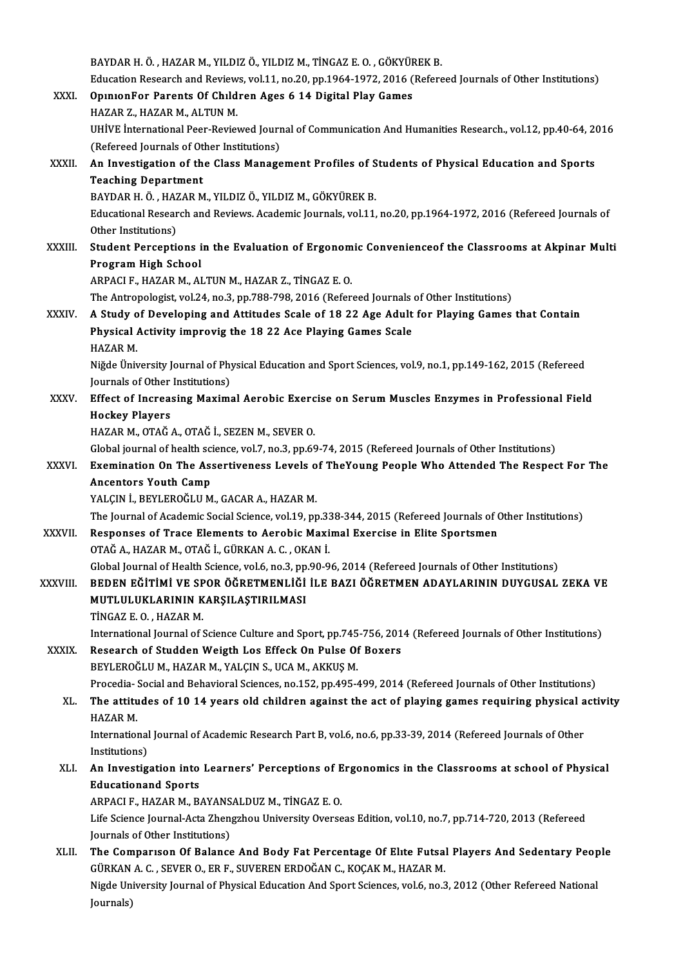BAYDAR H. Ö., HAZAR M., YILDIZ Ö., YILDIZ M., TİNGAZ E. O., GÖKYÜREK B. BAYDAR H. Ö. , HAZAR M., YILDIZ Ö., YILDIZ M., TİNGAZ E. O. , GÖKYÜREK B.<br>Education Research and Reviews, vol.11, no.20, pp.1964-1972, 2016 (Refereed Journals of Other Institutions)<br>OninionEer Perents Of Children Ages 6.14 BAYDAR H. Ö., HAZAR M., YILDIZ Ö., YILDIZ M., TİNGAZ E. O., GÖKYÜF<br>Education Research and Reviews, vol.11, no.20, pp.1964-1972, 2016 (<br>XXXI. OpınıonFor Parents Of Chıldren Ages 6 14 Digital Play Games Education Research and Review<br>OpinionFor Parents Of Child<br>HAZAR Z., HAZAR M., ALTUN M.<br>UHWE international Beer Beview OpinionFor Parents Of Children Ages 6 14 Digital Play Games<br>HAZAR Z., HAZAR M., ALTUN M.<br>UHİVE İnternational Peer-Reviewed Journal of Communication And Humanities Research., vol.12, pp.40-64, 2016<br>(Refereed Journals of Oth HAZAR Z., HAZAR M., ALTUN M.<br>UHİVE İnternational Peer-Reviewed Journ<br>(Refereed Journals of Other Institutions)<br>An Investigation of the Class Manage UHİVE International Peer-Reviewed Journal of Communication And Humanities Research., vol.12, pp.40-64, 20<br>(Refereed Journals of Other Institutions)<br>XXXII. An Investigation of the Class Management Profiles of Students of Ph (Refereed Journals of Ot<br>An Investigation of th<br>Teaching Department<br>PAYDAP H Ö - HAZAP M An Investigation of the Class Management Profiles of S<br>Teaching Department<br>BAYDAR H. Ö. , HAZAR M., YILDIZ Ö., YILDIZ M., GÖKYÜREK B.<br>Educational Bessarsh and Beviews, Asademis Jeurnals vol.1.1 Teaching Department<br>BAYDAR H. Ö. , HAZAR M., YILDIZ Ö., YILDIZ M., GÖKYÜREK B.<br>Educational Research and Reviews. Academic Journals, vol.11, no.20, pp.1964-1972, 2016 (Refereed Journals of<br>Other Institutions) BAYDAR H. Ö. , HAZ<br>Educational Resear<br>Other Institutions)<br>Student Bersenti Educational Research and Reviews. Academic Journals, vol.11, no.20, pp.1964-1972, 2016 (Refereed Journals of<br>Other Institutions)<br>XXXIII. Student Perceptions in the Evaluation of Ergonomic Convenienceof the Classrooms at Ak Other Institutions)<br>Student Perceptions in the Evaluation of Ergonomic Convenienceof the Classrooms at Akpinar Multi<br>Program High School ARPACIF.,HAZARM.,ALTUNM.,HAZARZ.,TİNGAZ E.O. The Antropologist, vol.24, no.3, pp.788-798, 2016 (Refereed Journals of Other Institutions) XXXIV. A Study of Developing and Attitudes Scale of 18 22 Age Adult for Playing Games that Contain The Antropologist, vol.24, no.3, pp.788-798, 2016 (Refereed Journals<br>A Study of Developing and Attitudes Scale of 18 22 Age Adult<br>Physical Activity improvig the 18 22 Ace Playing Games Scale<br>HAZAR M A Study o<br>Physical<br>HAZAR M.<br>Nižda Üniv Physical Activity improvig the 18 22 Ace Playing Games Scale<br>HAZAR M.<br>Niğde Üniversity Journal of Physical Education and Sport Sciences, vol.9, no.1, pp.149-162, 2015 (Refereed<br>Journals of Other Institutions) HAZAR M.<br>Niğde Üniversity Journal of Phy<br>Journals of Other Institutions)<br>Effect of Insteasing Mayime Niğde Üniversity Journal of Physical Education and Sport Sciences, vol.9, no.1, pp.149-162, 2015 (Refereed<br>Journals of Other Institutions)<br>XXXV. Effect of Increasing Maximal Aerobic Exercise on Serum Muscles Enzymes in Pro Journals of Other Institutions)<br>Effect of Increasing Maximal Aerobic Exercise on Serum Muscles Enzymes in Professional Field<br>Hockey Players HAZAR M., OTAĞ A., OTAĞ İ., SEZEN M., SEVER O. Hockey Players<br>HAZAR M., OTAĞ A., OTAĞ İ., SEZEN M., SEVER O.<br>Global journal of health science, vol.7, no.3, pp.69-74, 2015 (Refereed Journals of Other Institutions)<br>Examination On The Assertiveness Levels of TheYoung Been HAZAR M., OTAĞ A., OTAĞ İ., SEZEN M., SEVER O.<br>Global journal of health science, vol.7, no.3, pp.69-74, 2015 (Refereed Journals of Other Institutions)<br>XXXVI. Exemination On The Assertiveness Levels of TheYoung People Who A **Global journal of health schools**<br>Exemination On The Ass<br>Ancentors Youth Camp<br>YALCIN L PEVLEROČLUM Exemination On The Assertiveness Levels of<br>Ancentors Youth Camp<br>YALÇIN İ., BEYLEROĞLU M., GACAR A., HAZAR M.<br>The Journal of Academic Social Science vel 19. nr Ancentors Youth Camp<br>YALÇIN İ., BEYLEROĞLU M., GACAR A., HAZAR M.<br>The Journal of Academic Social Science, vol.19, pp.338-344, 2015 (Refereed Journals of Other Institutions) YALÇIN İ., BEYLEROĞLU M., GACAR A., HAZAR M.<br>The Journal of Academic Social Science, vol.19, pp.338-344, 2015 (Refereed Journals of Corrolly and Exercise in Elite Sportsmen<br>AXXVII. Responses of Trace Elements to Aerobic Ma The Journal of Academic Social Science, vol.19, pp.33<br>Responses of Trace Elements to Aerobic Maxi<br>OTAĞ A., HAZAR M., OTAĞ İ., GÜRKAN A. C. , OKAN İ.<br>Clabel Journal of Health Science, val f. no 2, np.90, 9 Responses of Trace Elements to Aerobic Maximal Exercise in Elite Sportsmen<br>OTAĞ A., HAZAR M., OTAĞ İ., GÜRKAN A. C. , OKAN İ.<br>Global Journal of Health Science, vol.6, no.3, pp.90-96, 2014 (Refereed Journals of Other Instit OTAĞ A., HAZAR M., OTAĞ İ., GÜRKAN A. C. , OKAN İ.<br>Global Journal of Health Science, vol.6, no.3, pp.90-96, 2014 (Refereed Journals of Other Institutions)<br>XXXVIII. BEDEN EĞİTİMİ VE SPOR ÖĞRETMENLİĞİ İLE BAZI ÖĞRETMEN A Global Journal of Health Science, vol.6, no.3, pp<br>BEDEN EĞİTİMİ VE SPOR ÖĞRETMENLİĞİ<br>MUTLULUKLARININ KARŞILAŞTIRILMASI<br>T<sup>İNCAZEO</sup> HAZAR M BEDEN EĞİTİMİ VE SP<br>MUTLULUKLARININ K<br>TİNGAZ E.O., HAZAR M.<br>International Journal of S MUTLULUKLARININ KARŞILAŞTIRILMASI<br>TİNGAZ E. O. , HAZAR M.<br>International Journal of Science Culture and Sport, pp.745-756, 2014 (Refereed Journals of Other Institutions)<br>Researsh of Studden Weisth Les Effeck On Bulse Of Boy TINGAZ E. O. , HAZAR M.<br>International Journal of Science Culture and Sport, pp.745-756, 201<br>XXXIX. Research of Studden Weigth Los Effeck On Pulse Of Boxers<br>REVIEROČIJIM, HAZAR M, VALCIN S, JICA M, AKKIIS M International Journal of Science Culture and Sport, pp.745<br>Research of Studden Weigth Los Effeck On Pulse Of<br>BEYLEROĞLU M., HAZAR M., YALÇIN S., UCA M., AKKUŞ M.<br>Presedia, Sosial and Pehavioral Sciences, no 152, nn 495. Research of Studden Weigth Los Effeck On Pulse Of Boxers<br>BEYLEROĞLU M., HAZAR M., YALÇIN S., UCA M., AKKUŞ M.<br>Procedia- Social and Behavioral Sciences, no.152, pp.495-499, 2014 (Refereed Journals of Other Institutions)<br>The BEYLEROĞLU M., HAZAR M., YALÇIN S., UCA M., AKKUŞ M.<br>Procedia- Social and Behavioral Sciences, no.152, pp.495-499, 2014 (Refereed Journals of Other Institutions)<br>XL. The attitudes of 10 14 years old children against the ac Procedia- :<br>The attitu<br>HAZAR M.<br>Internation The attitudes of 10 14 years old children against the act of playing games requiring physical a<br>HAZAR M.<br>International Journal of Academic Research Part B, vol.6, no.6, pp.33-39, 2014 (Refereed Journals of Other<br>Institutio HAZAR M.<br>International<br>Institutions)<br>An Investig International Journal of Academic Research Part B, vol.6, no.6, pp.33-39, 2014 (Refereed Journals of Other<br>Institutions)<br>XLI. An Investigation into Learners' Perceptions of Ergonomics in the Classrooms at school of Physica Institutions)<br>An Investigation into<br>Educationand Sports<br>APPACLE HAZAR M. P. An Investigation into Learners' Perceptions of E<br>Educationand Sports<br>ARPACI F., HAZAR M., BAYANSALDUZ M., TİNGAZ E. O.<br>Life Science Journal Acta Zhangrhou University Overse Educationand Sports<br>ARPACI F., HAZAR M., BAYANSALDUZ M., TİNGAZ E. O.<br>Life Science Journal-Acta Zhengzhou University Overseas Edition, vol.10, no.7, pp.714-720, 2013 (Refereed<br>Journals of Other Institutions) ARPACI F., HAZAR M., BAYANS<br>Life Science Journal-Acta Zhen<br>Journals of Other Institutions)<br>The Componison Of Balance Life Science Journal-Acta Zhengzhou University Overseas Edition, vol.10, no.7, pp.714-720, 2013 (Refereed<br>Journals of Other Institutions)<br>XLII. The Comparison Of Balance And Body Fat Percentage Of Elite Futsal Players And Journals of Other Institutions)<br>The Comparison Of Balance And Body Fat Percentage Of Elite Futsa.<br>GÜRKAN A. C. , SEVER O., ER F., SUVEREN ERDOĞAN C., KOÇAK M., HAZAR M.<br>Nigde University Journal of Physical Education And Sp The Comparison Of Balance And Body Fat Percentage Of Elite Futsal Players And Sedentary Peop<br>GÜRKAN A. C. , SEVER O., ER F., SUVEREN ERDOĞAN C., KOÇAK M., HAZAR M.<br>Nigde University Journal of Physical Education And Sport S GÜRKAN<br>Nigde Un<br>Journals)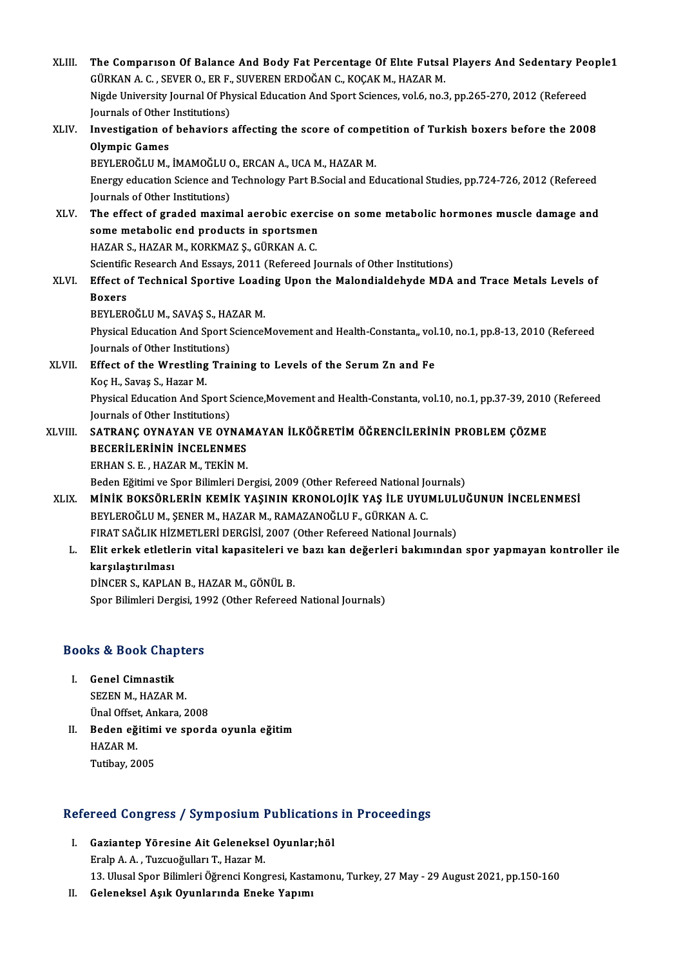XLIII. The Comparison Of Balance And Body Fat Percentage Of Elite Futsal Players And Sedentary People1<br>CURKAN A.C. SEVER O. ER E. SUVEREN ERDOČAN G. KOCAK M. HAZAR M. The Comparison Of Balance And Body Fat Percentage Of Elite Futsa<br>GÜRKAN A. C. , SEVER O., ER F., SUVEREN ERDOĞAN C., KOÇAK M., HAZAR M.<br>Nigde University Journal Of Physical Education And Sport Sciences val 6 no 3 The Comparison Of Balance And Body Fat Percentage Of Elite Futsal Players And Sedentary Peo<br>GÜRKAN A. C. , SEVER O., ER F., SUVEREN ERDOĞAN C., KOÇAK M., HAZAR M.<br>Nigde University Journal Of Physical Education And Sport Sc GÜRKAN A. C. , SEVER O., ER F., SUVEREN ERDOĞAN C., KOÇAK M., HAZAR M.<br>Nigde University Journal Of Physical Education And Sport Sciences, vol.6, no.3, pp.265-270, 2012 (Refereed XLIV. Investigation of behaviors affecting the score of competition of Turkish boxers before the 2008 Journals of Other Institutions) Investigation of behaviors affecting the score of compo<br>Olympic Games<br>BEYLEROĞLU M., İMAMOĞLU O., ERCAN A., UCA M., HAZAR M.<br>Energy education Science and Technology Part B Social and Eq Energy education Science and Technology Part B.Social and Educational Studies, pp.724-726, 2012 (Refereed Journals of Other Institutions) BEYLEROĞLU M., İMAMOĞLU (<br>Energy education Science and<br>Journals of Other Institutions)<br>The effect of graded maxim Energy education Science and Technology Part B.Social and Educational Studies, pp.724-726, 2012 (Refereed<br>Journals of Other Institutions)<br>XLV. The effect of graded maximal aerobic exercise on some metabolic hormones muscle Sournals of Other Institutions)<br>The effect of graded maximal aerobic exerci<br>some metabolic end products in sportsmen<br>HAZAR S, HAZAR M, KORKMAZ S, CÜRKAN A, C The effect of graded maximal aerobic exerc<br>some metabolic end products in sportsmen<br>HAZAR S., HAZAR M., KORKMAZ Ş., GÜRKAN A. C.<br>Scientific Besearch And Essaus 2011 (Befereed L some metabolic end products in sportsmen<br>HAZAR S., HAZAR M., KORKMAZ Ş., GÜRKAN A. C.<br>Scientific Research And Essays, 2011 (Refereed Journals of Other Institutions) HAZAR S., HAZAR M., KORKMAZ Ş., GÜRKAN A. C.<br>Scientific Research And Essays, 2011 (Refereed Journals of Other Institutions)<br>XLVI. Effect of Technical Sportive Loading Upon the Malondialdehyde MDA and Trace Metals Levels of Scientifie<br><mark>Effect o</mark><br>Boxers<br>PEVI ED Effect of Technical Sportive Loadi<br>Boxers<br>BEYLEROĞLU M., SAVAŞ S., HAZAR M.<br>Physical Education And Sport Sciencel Boxers<br>BEYLEROĞLU M., SAVAŞ S., HAZAR M.<br>Physical Education And Sport ScienceMovement and Health-Constanta,, vol.10, no.1, pp.8-13, 2010 (Refereed<br>Journals of Other Institutions) BEYLEROĞLU M., SAVAŞ S., HA<br>Physical Education And Sport S<br>Journals of Other Institutions) Physical Education And Sport ScienceMovement and Health-Constanta,, vol<br>Journals of Other Institutions)<br>XLVII. Effect of the Wrestling Training to Levels of the Serum Zn and Fe Journals of Other Instituti<br>Effect of the Wrestling<br>Koç H., Savaş S., Hazar M.<br>Physical Education And S. Effect of the Wrestling Training to Levels of the Serum Zn and Fe<br>Koç H., Savaş S., Hazar M.<br>Physical Education And Sport Science,Movement and Health-Constanta, vol.10, no.1, pp.37-39, 2010 (Refereed<br>Journals of Other Inst Koç H., Savaş S., Hazar M.<br>Physical Education And Sport S.<br>Journals of Other Institutions)<br>SATPANC OVNAVAN VE OV! Physical Education And Sport Science,Movement and Health-Constanta, vol.10, no.1, pp.37-39, 2010<br>Journals of Other Institutions)<br>XLVIII. SATRANÇ OYNAYAN VE OYNAMAYAN İLKÖĞRETİM ÖĞRENCİLERİNİN PROBLEM ÇÖZME<br>RECERILERİNİN İN **Journals of Other Institutions)<br>SATRANÇ OYNAYAN VE OYNAN<br>BECERİLERİNİN İNCELENMES**<br>FPHAN S.F. HAZAP M. TEKİN M SATRANÇ OYNAYAN VE OYNAN<br>BECERİLERİNİN İNCELENMES<br>ERHAN S. E. , HAZAR M., TEKİN M.<br>Bodon Fătimi ve Snor Bilimleri Do BECERİLERİNİN İNCELENMES<br>ERHAN S. E. , HAZAR M., TEKİN M.<br>Beden Eğitimi ve Spor Bilimleri Dergisi, 2009 (Other Refereed National Journals)<br>MİNİK ROKSÖRI FRİN KEMİK YASININ KRONOLOJİK YAS İLE JIVIJMI JIJ JI ERHAN S. E. , HAZAR M., TEKİN M.<br>Beden Eğitimi ve Spor Bilimleri Dergisi, 2009 (Other Refereed National Journals)<br>XLIX. MİNİK BOKSÖRLERİN KEMİK YAŞININ KRONOLOJİK YAŞ İLE UYUMLULUĞUNUN İNCELENMESİ<br>BEYLEROĞLU M., ŞENER M., Beden Eğitimi ve Spor Bilimleri Dergisi, 2009 (Other Refereed National Jo<mark>minik Boksörlerin kemik yaşının kronolojik yaş ile uyu</mark><br>BEYLEROĞLU M., ŞENER M., HAZAR M., RAMAZANOĞLU F., GÜRKAN A. C.<br>EIBAT SAĞLIK HİZMETI ERİ DER MİNİK BOKSÖRLERİN KEMİK YAŞININ KRONOLOJİK YAŞ İLE UYUMLUL<br>BEYLEROĞLU M., ŞENER M., HAZAR M., RAMAZANOĞLU F., GÜRKAN A. C.<br>FIRAT SAĞLIK HİZMETLERİ DERGİSİ, 2007 (Other Refereed National Journals)<br>Elit orkak atlatların uita L. Elit erkek etletlerin vital kapasiteleri ve bazı kan değerleri bakımından spor yapmayan kontroller ile<br>karsılastırılması FIRAT SAĞLIK HİZ<br>Elit erkek etletle<br>karşılaştırılması<br>DİNCER S. KARLAL DİNCER S., KAPLAN B., HAZAR M., GÖNÜL B.

Spor Bilimleri Dergisi, 1992 (Other Refereed National Journals)

# spor Billmieri Dergisi, 19<br>Books & Book Chapters

- OOks & Book Chap<br>I. Genel Cimnastik<br>SEZEN M. HAZAR I I. Genel Cimnastik<br>SEZEN M., HAZAR M. Ünal Offset, Ankara, 2008
- SEZEN M., HAZAR M.<br>Ünal Offset, Ankara, 2008<br>II. Beden eğitimi ve sporda oyunla eğitim<br>HAZAR M Ünal Offset<br>Beden eğ<br>HAZAR M.<br>Tutibov 20 Beden eğitim<br>HAZAR M.<br>Tutibay, 2005

# 1uubay, 2005<br>Refereed Congress / Symposium Publications in Proceedings

- efereed Congress / Symposium Publications<br>I. Gaziantep Yöresine Ait Geleneksel Oyunlar;höl<br>Frela A.A. Turquežullar T. Herer M I. Gaziantep Yöresine Ait Geleneksel Oyunlar;höl<br>Eralp A.A., Tuzcuoğulları T., Hazar M. 13. Ulusal Spor Bilimleri Öğrenci Kongresi, Kastamonu, Turkey, 27 May - 29 August 2021, pp.150-160
- II. Geleneksel Aşık Oyunlarında Eneke Yapımı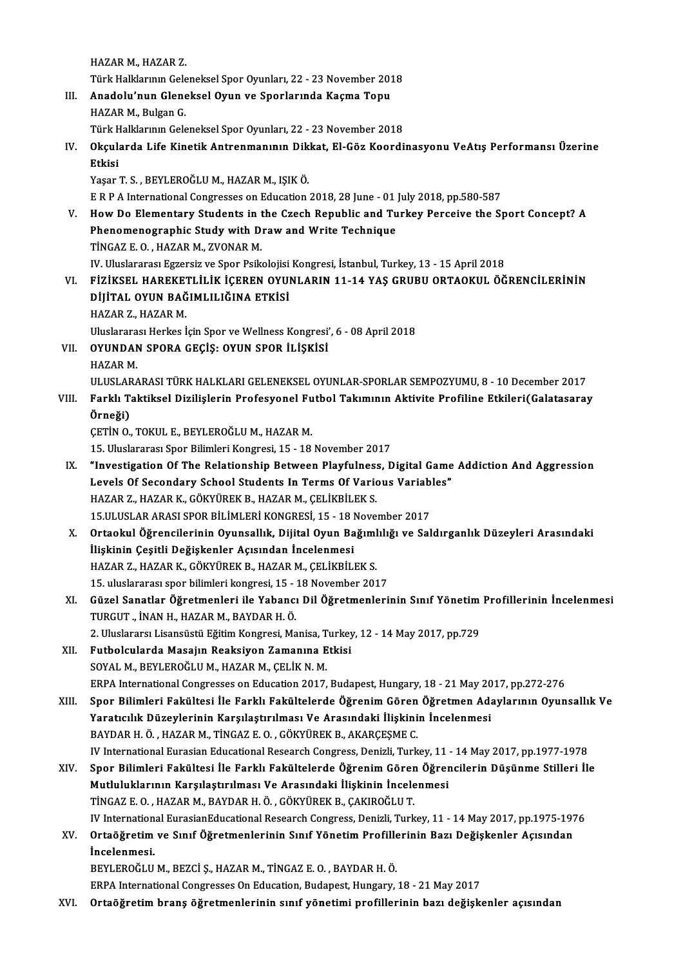HAZARM.,HAZARZ.

Türk Halklarının Geleneksel Spor Oyunları, 22 - 23 November 2018

- HAZAR M., HAZAR Z.<br>Türk Halklarının Geleneksel Spor Oyunları, 22 23 November 201<br>III. Anadolu'nun Gleneksel Oyun ve Sporlarında Kaçma Topu<br>HAZAR M. Bulgar C Türk Halklarının Gele<br><mark>Anadolu'nun Glen</mark>e<br>HAZAR M., Bulgan G.<br>Türk Halklarının Gele Anadolu'nun Gleneksel Oyun ve Sporlarında Kaçma Topu<br>HAZAR M., Bulgan G.<br>Türk Halklarının Geleneksel Spor Oyunları, 22 - 23 November 2018<br>Okaylarda Life Kinetik Antronmanının Dikkat, El Göz Koordi
- HAZAR M., Bulgan G.<br>Türk Halklarının Geleneksel Spor Oyunları, 22 23 November 2018<br>IV. Okçularda Life Kinetik Antrenmanının Dikkat, El-Göz Koordinasyonu VeAtış Performansı Üzerine<br>Etkisi Türk H<br><mark>Okçul:</mark><br>Etkisi Okçularda Life Kinetik Antrenmanının Dik<br>Etkisi<br>Yaşar T. S. , BEYLEROĞLU M., HAZAR M., IŞIK Ö.<br>E B B A International Congresses en Education

Etkisi<br>Yaşar T. S. , BEYLEROĞLU M., HAZAR M., IŞIK Ö.<br>E R P A International Congresses on Education 2018, 28 June - 01 July 2018, pp.580-587

- V. HowDo Elementary Students in the Czech Republic and Turkey Perceive the Sport Concept? A E R P A International Congresses on Education 2018, 28 June - 01<br>How Do Elementary Students in the Czech Republic and Tu<br>Phenomenographic Study with Draw and Write Technique<br>T<sup>INCAZEO HAZABM ZVONABM</sup> How Do Elementary Students in the<br>Phenomenographic Study with D<br>TİNGAZ E.O., HAZAR M., ZVONAR M.<br>W. Uluslarensa Estensiz ve Spon Bails TİNGAZ E. O. , HAZAR M., ZVONAR M.<br>IV. Uluslararası Egzersiz ve Spor Psikolojisi Kongresi, İstanbul, Turkey, 13 - 15 April 2018 TİNGAZ E. O. , HAZAR M., ZVONAR M.<br>IV. Uluslararası Egzersiz ve Spor Psikolojisi Kongresi, İstanbul, Turkey, 13 - 15 April 2018<br>VI. — FİZİKSEL HAREKETLİLİK İÇEREN OYUNLARIN 11-14 YAŞ GRUBU ORTAOKUL ÖĞRENCİLERİNİN<br>DİLİTAL O
- IV. Uluslararası Egzersiz ve Spor Psikolojisi<br>FİZİKSEL HAREKETLİLİK İÇEREN OYUI<br>DİJİTAL OYUN BAĞIMLILIĞINA ETKİSİ<br>HAZAR Z. HAZAR M FİZİKSEL HAREKET<br>DİJİTAL OYUN BAĞ<br>HAZAR Z., HAZAR M.<br>Uluslananası Harkas İ DİJİTAL OYUN BAĞIMLILIĞINA ETKİSİ<br>HAZAR Z., HAZAR M.<br>Uluslararası Herkes İçin Spor ve Wellness Kongresi', 6 - 08 April 2018 VI . OYUNDAN SPORA GEÇİŞ: OYUN SPOR İLİŞKİSİ

Uluslarara<br>OYUNDAN<br>HAZAR M.<br>III USLARA

OYUNDAN SPORA GEÇİŞ: OYUN SPOR İLİŞKİSİ<br>HAZAR M.<br>ULUSLARARASI TÜRK HALKLARI GELENEKSEL OYUNLAR-SPORLAR SEMPOZYUMU, 8 - 10 December 2017<br>Farkk Taktikaal Diriliaların Profesyonal Euthal Takımının Aktivite Profiline Etkileri(

HAZAR M.<br>ULUSLARARASI TÜRK HALKLARI GELENEKSEL OYUNLAR-SPORLAR SEMPOZYUMU, 8 - 10 December 2017<br>VIII. Farklı Taktiksel Dizilişlerin Profesyonel Futbol Takımının Aktivite Profiline Etkileri(Galatasaray<br>Örneği) ULUSLAF<br><mark>Farklı T</mark>:<br>Örneği)<br>CETİN O VIII. Farklı Taktiksel Dizilişlerin Profesyonel Futbol Takımının Aktivite Profiline Etkileri(Galatasaray<br>Örneği)<br>ÇETİN O., TOKUL E., BEYLEROĞLU M., HAZAR M.

15. Uluslararası Spor Bilimleri Kongresi, 15 - 18 November 2017

- CETIN O., TOKUL E., BEYLEROĞLU M., HAZAR M.<br>15. Uluslararası Spor Bilimleri Kongresi, 15 18 November 2017<br>IX. "Investigation Of The Relationship Between Playfulness, Digital Game Addiction And Aggression<br>I avels Of Sesen 15. Uluslararası Spor Bilimleri Kongresi, 15 - 18 November 2017<br>"Investigation Of The Relationship Between Playfulness, Digital Game<br>Levels Of Secondary School Students In Terms Of Various Variables"<br>HAZAR Z, HAZAR K, GÖKV "Investigation Of The Relationship Between Playfulness<br>Levels Of Secondary School Students In Terms Of Vario<br>HAZAR Z., HAZAR K., GÖKYÜREK B., HAZAR M., ÇELİKBİLEK S.<br>15 III USLAR ARASI SPOR RİLİMLERİ KONCRESİ 15 - 19 Nove Levels Of Secondary School Students In Terms Of Various Variables"<br>HAZAR Z., HAZAR K., GÖKYÜREK B., HAZAR M., ÇELİKBİLEK S.<br>15.ULUSLAR ARASI SPOR BİLİMLERİ KONGRESİ, 15 - 18 November 2017 HAZAR Z., HAZAR K., GÖKYÜREK B., HAZAR M., ÇELİKBİLEK S.<br>15.ULUSLAR ARASI SPOR BİLİMLERİ KONGRESİ, 15 - 18 November 2017<br>X. Ortaokul Öğrencilerinin Oyunsallık, Dijital Oyun Bağımlılığı ve Saldırganlık Düzeyleri Arasındaki<br>
- 15.ULUSLAR ARASI SPOR BİLİMLERİ KONGRESİ, 15 18 l<br>Ortaokul Öğrencilerinin Oyunsallık, Dijital Oyun Ba<br>İlişkinin Çeşitli Değişkenler Açısından İncelenmesi<br>HAZAR Z, HAZAR K, ÇÖKVÜREK B, HAZAR M, ÇELİKRİLI Ortaokul Öğrencilerinin Oyunsallık, Dijital Oyun Bağıml<br>İlişkinin Çeşitli Değişkenler Açısından İncelenmesi<br>HAZAR Z., HAZAR K., GÖKYÜREK B., HAZAR M., ÇELİKBİLEK S.<br>15. uludararası əper bilimləri kanarasi 15., 19 Nevember İlişkinin Çeşitli Değişkenler Açısından İncelenmesi<br>HAZAR Z., HAZAR K., GÖKYÜREK B., HAZAR M., ÇELİKBİLEK S.<br>15. uluslararası spor bilimleri kongresi, 15 - 18 November 2017<br>Güzel Sanatlar Öğretmenleri ile Yahancı Dil Öğret HAZAR Z., HAZAR K., GÖKYÜREK B., HAZAR M., ÇELİKBİLEK S.<br>15. uluslararası spor bilimleri kongresi, 15 - 18 November 2017<br>XI. Güzel Sanatlar Öğretmenleri ile Yabancı Dil Öğretmenlerinin Sınıf Yönetim Profillerinin İncelenme
- 15. uluslararası spor bilimleri kongresi, 15 -<br>Güzel Sanatlar Öğretmenleri ile Yabancı<br>TURGUT ., İNAN H., HAZAR M., BAYDAR H. Ö.<br>2. Uluslarara Lisansüstü Eğitim Kongresi Me Güzel Sanatlar Öğretmenleri ile Yabancı Dil Öğretmenlerinin Sınıf Yönetim<br>TURGUT "İNAN H., HAZAR M., BAYDAR H. Ö.<br>2. Uluslararsı Lisansüstü Eğitim Kongresi, Manisa, Turkey, 12 - 14 May 2017, pp.729<br>Euthelaularda Masajın Ba 2. Uluslararsı Lisansüstü Eğitim Kongresi, Manisa, Turkey, 12 - 14 May 2017, pp.729
- TURGUT "İNAN H., HAZAR M., BAYDAR H. Ö.<br>2. Uluslararsı Lisansüstü Eğitim Kongresi, Manisa, Turkey<br>XII. Futbolcularda Masajın Reaksiyon Zamanına Etkisi<br>SOYAL M., BEYLEROĞLU M., HAZAR M., ÇELİK N. M. Futbolcularda Masajın Reaksiyon Zamanına Etkisi<br>SOYAL M., BEYLEROĞLU M., HAZAR M., ÇELİK N. M.<br>ERPA International Congresses on Education 2017, Budapest, Hungary, 18 - 21 May 2017, pp.272-276<br>Spor Bilimləri Fakültəsi İlə F
- XIII. Spor Bilimleri Fakültesi İle Farklı Fakültelerde Öğrenim Gören Öğretmen Adaylarının Oyunsallık Ve<br>Yaratıcılık Düzeylerinin Karşılaştırılması Ve Arasındaki İlişkinin İncelenmesi ERPA International Congresses on Education 2017, Budapest, Hungary, 18 - 21 May 20<br>Spor Bilimleri Fakültesi İle Farklı Fakültelerde Öğrenim Gören Öğretmen Ada<br>Yaratıcılık Düzeylerinin Karşılaştırılması Ve Arasındaki İlişki BAYDAR H. Ö., HAZAR M., TİNGAZ E. O., GÖKYÜREK B., AKARÇEŞME C. Yaratıcılık Düzeylerinin Karşılaştırılması Ve Arasındaki İlişkinin İncelenmesi<br>BAYDAR H. Ö. , HAZAR M., TİNGAZ E. O. , GÖKYÜREK B., AKARÇEŞME C.<br>IV International Eurasian Educational Research Congress, Denizli, Turkey, 11 BAYDAR H. Ö. , HAZAR M., TİNGAZ E. O. , GÖKYÜREK B., AKARÇEŞME C.<br>IV International Eurasian Educational Research Congress, Denizli, Turkey, 11 - 14 May 2017, pp.1977-1978<br>XIV. Spor Bilimleri Fakültesi İle Farklı Fakült
- IV International Eurasian Educational Research Congress, Denizli, Turkey, 11<br>Spor Bilimleri Fakültesi İle Farklı Fakültelerde Öğrenim Gören Öğrer<br>Mutluluklarının Karşılaştırılması Ve Arasındaki İlişkinin İncelenmesi<br>TİNCAZ XIV. Spor Bilimleri Fakültesi İle Farklı Fakültelerde Öğrenim Gören Öğrencilerin Düşünme Stilleri İle<br>Mutluluklarının Karşılaştırılması Ve Arasındaki İlişkinin İncelenmesi<br>TİNGAZ E. O. ,HAZAR M., BAYDAR H. Ö. , GÖKYÜREK B. IV International EurasianEducational Research Congress, Denizli, Turkey, 11 - 14 May 2017, pp.1975-1976 TİNGAZ E. O. , HAZAR M., BAYDAR H. Ö. , GÖKYÜREK B., ÇAKIROĞLU T.<br>IV International EurasianEducational Research Congress, Denizli, Turkey, 11 - 14 May 2017, pp.1975-197<br>XV. Ortaöğretim ve Sınıf Öğretmenlerinin Sınıf Yö
- IV Internation<br>Ortaöğretim<br>İncelenmesi.<br>PEVI EDOČLU Ortaöğretim ve Sınıf Öğretmenlerinin Sınıf Yönetim Profille<br>İncelenmesi.<br>BEYLEROĞLU M., BEZCİ Ş., HAZAR M., TİNGAZ E. O. , BAYDAR H. Ö.<br>EPPA International Congresses On Education Budanest Hungary. İncelenmesi.<br>BEYLEROĞLU M., BEZCİ Ş., HAZAR M., TİNGAZ E. O. , BAYDAR H. Ö.<br>ERPA International Congresses On Education, Budapest, Hungary, 18 - 21 May 2017

XVI. Ortaöğretim branş öğretmenlerinin sınıf yönetimi profillerinin bazı değişkenler açısından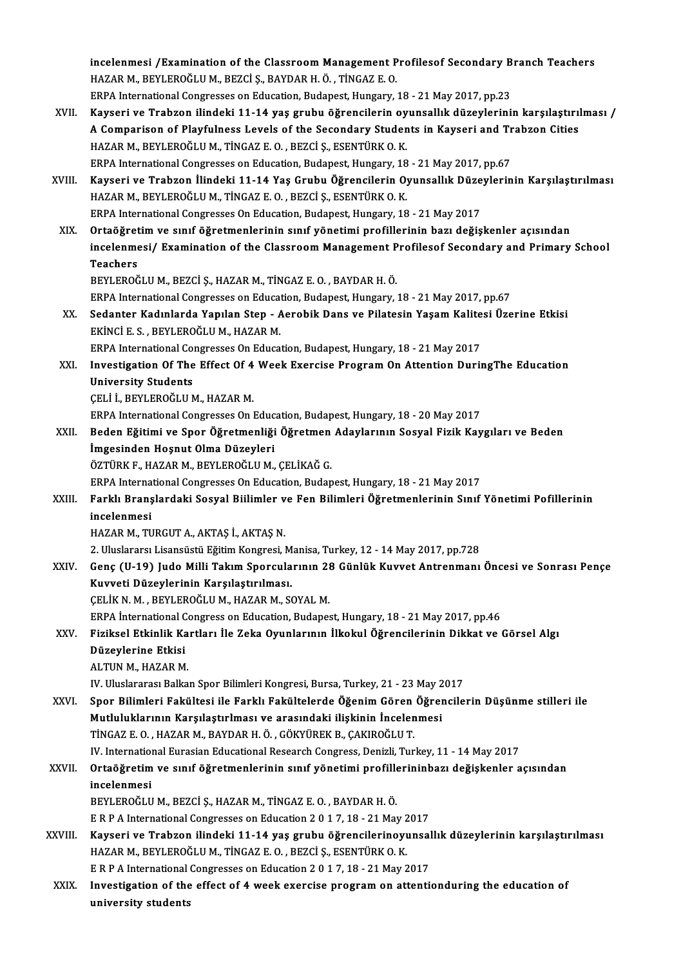incelenmesi /Examination of the Classroom Management Profilesof Secondary Branch Teachers<br>HAZAR M, REVLEROČLU M, REZCLS, RAVDAR H, Ö, TİNCAZ E Q incelenmesi /Examination of the Classroom Management P<br>HAZAR M., BEYLEROĞLU M., BEZCİ Ş., BAYDAR H. Ö. , TİNGAZ E. O.<br>EPPA International Congresses en Education Budanest Hungery incelenmesi /Examination of the Classroom Management Profilesof Secondary B<br>HAZAR M., BEYLEROĞLU M., BEZCİ Ş., BAYDAR H. Ö. , TİNGAZ E. O.<br>ERPA International Congresses on Education, Budapest, Hungary, 18 - 21 May 2017, pp HAZAR M., BEYLEROĞLU M., BEZCİ Ş., BAYDAR H. Ö. , TİNGAZ E. O.<br>ERPA International Congresses on Education, Budapest, Hungary, 18 - 21 May 2017, pp.23<br>XVII. Kayseri ve Trabzon ilindeki 11-14 yaş grubu öğrencilerin oyunsallı ERPA International Congresses on Education, Budapest, Hungary, 18 - 21 May 2017, pp.23<br>Kayseri ve Trabzon ilindeki 11-14 yaş grubu öğrencilerin oyunsallık düzeylerinin karşılaştırıl<br>A Comparison of Playfulness Levels of th HAZARM.,BEYLEROĞLUM.,TİNGAZ E.O. ,BEZCİ Ş.,ESENTÜRKO.K. A Comparison of Playfulness Levels of the Secondary Students in Kayseri and Trabzon Cities XVIII. Kayseri ve Trabzon İlindeki 11-14 Yaş Grubu Öğrencilerin Oyunsallık Düzeylerinin Karşılaştırılması<br>HAZAR M., BEYLEROĞLU M., TİNGAZ E. O., BEZCİ S., ESENTÜRK O. K. ERPA International Congresses on Education, Budapest, Hungary, 18 - 21 May 2017, pp.67 ERPA International Congresses On Education, Budapest, Hungary, 18 - 21 May 2017 HAZAR M., BEYLEROĞLU M., TİNGAZ E. O. , BEZCİ Ş., ESENTÜRK O. K.<br>ERPA International Congresses On Education, Budapest, Hungary, 18 - 21 May 2017<br>XIX. Ortaöğretim ve sınıf öğretmenlerinin sınıf yönetimi profillerinin bazı d incelenmesi/ Examination of the Classroom Management Profilesof Secondary and Primary School<br>Teachers Ortaöğre<mark>t</mark><br>incelenme<br>Teachers<br>PEVI EPOČ BEYLEROĞLUM.,BEZCİ Ş.,HAZARM.,TİNGAZ E.O. ,BAYDARH.Ö. Teachers<br>BEYLEROĞLU M., BEZCİ Ş., HAZAR M., TİNGAZ E. O. , BAYDAR H. Ö.<br>ERPA International Congresses on Education, Budapest, Hungary, 18 - 21 May 2017, pp.67<br>Sedantar Kadınlarda Yanılan Stan - Aarabik Dana ve Bilatesin Ya BEYLEROĞLU M., BEZCİ Ş., HAZAR M., TİNGAZ E. O. , BAYDAR H. Ö.<br>ERPA International Congresses on Education, Budapest, Hungary, 18 - 21 May 2017, pp.67<br>XX. Sedanter Kadınlarda Yapılan Step - Aerobik Dans ve Pilatesin Yaşam K ERPA International Congresses on Educational Stephen<br>Sedanter Kadınlarda Yapılan Step - A<br>EKİNCİ E. S. , BEYLEROĞLUM., HAZARM.<br>ERRA International Congresses On Educat Sedanter Kadınlarda Yapılan Step - Aerobik Dans ve Pilatesin Yaşam Kalite<br>EKİNCİ E. S. , BEYLEROĞLU M., HAZAR M.<br>ERPA International Congresses On Education, Budapest, Hungary, 18 - 21 May 2017<br>Investigation Of The Effect O EKİNCİ E. S. , BEYLEROĞLU M., HAZAR M.<br>ERPA International Congresses On Education, Budapest, Hungary, 18 - 21 May 2017<br>XXI. Investigation Of The Effect Of 4 Week Exercise Program On Attention DuringThe Education<br>Univer ERPA International Com<br><mark>Investigation Of The</mark><br>University Students<br>CELLL BEVLEPOČLUA Investigation Of The Effect Of 4<br>University Students<br>ÇELİ İ., BEYLEROĞLU M., HAZAR M.<br>EPPA International Congresses On I University Students<br>CELİ İ., BEYLEROĞLU M., HAZAR M.<br>ERPA International Congresses On Education, Budapest, Hungary, 18 - 20 May 2017 ÇELİ İ., BEYLEROĞLU M., HAZAR M.<br>ERPA International Congresses On Education, Budapest, Hungary, 18 - 20 May 2017<br>XXII. Beden Eğitimi ve Spor Öğretmenliği Öğretmen Adaylarının Sosyal Fizik Kaygıları ve Beden<br>İmgəsindən Hesp ERPA International Congresses On Educ<br>Beden Eğitimi ve Spor Öğretmenliği<br>İmgesinden Hoşnut Olma Düzeyleri<br>ÖZTÜPKE HAZAR M. BEVLEROĞLUM Beden Eğitimi ve Spor Öğretmenliği Öğretmen<br>İmgesinden Hoşnut Olma Düzeyleri<br>ÖZTÜRK F., HAZAR M., BEYLEROĞLU M., ÇELİKAĞ G.<br>EPPA International Congresses On Edusation Budan İmgesinden Hoşnut Olma Düzeyleri<br>ÖZTÜRK F., HAZAR M., BEYLEROĞLU M., ÇELİKAĞ G.<br>ERPA International Congresses On Education, Budapest, Hungary, 18 - 21 May 2017<br>Farklı Branslardaki Sosyal Bijlimlar ve Fan Bilimlari Öğretmen ÖZTÜRK F., HAZAR M., BEYLEROĞLU M., ÇELİKAĞ G.<br>ERPA International Congresses On Education, Budapest, Hungary, 18 - 21 May 2017<br>XXIII. Farklı Branşlardaki Sosyal Biilimler ve Fen Bilimleri Öğretmenlerinin Sınıf Yönetimi ERPA Interna<br>Farklı Branş<br>incelenmesi<br>HAZAR M. TU HAZARM.,TURGUTA.,AKTAŞ İ.,AKTAŞN. incelenmesi<br>HAZAR M., TURGUT A., AKTAŞ İ., AKTAŞ N.<br>2. Uluslararsı Lisansüstü Eğitim Kongresi, Manisa, Turkey, 12 - 14 May 2017, pp.728<br>Cong (U.19) Judo Milli Tekum Sporgularının 28 Günlük Kuyyet Antronmanı HAZAR M., TURGUT A., AKTAŞ İ., AKTAŞ N.<br>2. Uluslararsı Lisansüstü Eğitim Kongresi, Manisa, Turkey, 12 - 14 May 2017, pp.728<br>XXIV. Genç (U-19) Judo Milli Takım Sporcularının 28 Günlük Kuvvet Antrenmanı Öncesi ve Sonrası 2. Uluslararsı Lisansüstü Eğitim Kongresi, M<br>Genç (U-19) Judo Milli Takım Sporcula<br>Kuvveti Düzeylerinin Karşılaştırılması.<br>CELİKN M. BEVLERQĞLUM HAZARM S6 Genç (U-19) Judo Milli Takım Sporcularının 21<br>Kuvveti Düzeylerinin Karşılaştırılması.<br>ÇELİK N. M. , BEYLEROĞLU M., HAZAR M., SOYAL M.<br>EPPA İnternational Congress en Education Budance Kuvveti Düzeylerinin Karşılaştırılması.<br>ÇELİK N. M. , BEYLEROĞLU M., HAZAR M., SOYAL M.<br>ERPA İnternational Congress on Education, Budapest, Hungary, 18 - 21 May 2017, pp.46 ÇELİK N. M. , BEYLEROĞLU M., HAZAR M., SOYAL M.<br>ERPA İnternational Congress on Education, Budapest, Hungary, 18 - 21 May 2017, pp.46<br>XXV. Fiziksel Etkinlik Kartları İle Zeka Oyunlarının İlkokul Öğrencilerinin Dikkat ve ERPA İnternational C<br>Fiziksel Etkinlik Ka<br>Düzeylerine Etkisi<br>ALTIN M. HAZAR M Fiziksel Etkinlik Ka<br>Düzeylerine Etkisi<br>ALTUN M., HAZAR M.<br>W. Uluslararası Ballm Düzeylerine Etkisi<br>ALTUN M., HAZAR M.<br>IV. Uluslararası Balkan Spor Bilimleri Kongresi, Bursa, Turkey, 21 - 23 May 2017<br>Spor Bilimleri Fakültesi ile Farklı Fakültelerde Öğenim Gören Öğrensile ALTUN M., HAZAR M.<br>IV. Uluslararası Balkan Spor Bilimleri Kongresi, Bursa, Turkey, 21 - 23 May 2017<br>XXVI. Spor Bilimleri Fakültesi ile Farklı Fakültelerde Öğenim Gören Öğrencilerin Düşünme stilleri ile<br>Mutluluklarının Karş IV. Uluslararası Balkan Spor Bilimleri Kongresi, Bursa, Turkey, 21 - 23 May 2<br>Spor Bilimleri Fakültesi ile Farklı Fakültelerde Öğenim Gören Öğren<br>Mutluluklarının Karşılaştırlması ve arasındaki ilişkinin İncelenmesi<br>TİNCAZE TİNGAZ E.O. ,HAZARM.,BAYDARH.Ö. ,GÖKYÜREKB.,ÇAKIROĞLUT. Mutluluklarının Karşılaştırlması ve arasındaki ilişkinin İncelenmesi<br>TİNGAZ E. O. , HAZAR M., BAYDAR H. Ö. , GÖKYÜREK B., ÇAKIROĞLU T.<br>IV. International Eurasian Educational Research Congress, Denizli, Turkey, 11 - 14 May TİNGAZ E. O. , HAZAR M., BAYDAR H. Ö. , GÖKYÜREK B., ÇAKIROĞLU T.<br>IV. International Eurasian Educational Research Congress, Denizli, Turkey, 11 - 14 May 2017<br>XXVII. Ortaöğretim ve sınıf öğretmenlerinin sınıf yönetimi p IV. Internation<br>Ortaöğretim<br>incelenmesi<br>PEVI EROČI U Ortaöğretim ve sınıf öğretmenlerinin sınıf yönetimi profille<br>incelenmesi<br>BEYLEROĞLU M., BEZCİ Ş., HAZAR M., TİNGAZ E. O. , BAYDAR H. Ö.<br>E.P. P.A. International Consresses on Education 2.0.1.7.19, 21 Mer incelenmesi<br>BEYLEROĞLU M., BEZCİ Ş., HAZAR M., TİNGAZ E. O. , BAYDAR H. Ö.<br>E R P A International Congresses on Education 2 0 1 7, 18 - 21 May 2017 BEYLEROĞLU M., BEZCİ Ş., HAZAR M., TİNGAZ E. O. , BAYDAR H. Ö.<br>E R P A International Congresses on Education 2 0 1 7, 18 - 21 May 2017<br>XXVIII. Kayseri ve Trabzon ilindeki 11-14 yaş grubu öğrencilerinoyunsallık düzeylerinin E R P A International Congresses on Education 2 0 1 7, 18 - 21 May 2<br>Kayseri ve Trabzon ilindeki 11-14 yaş grubu öğrencilerinoyu<br>HAZAR M., BEYLEROĞLU M., TİNGAZ E. O. , BEZCİ Ş., ESENTÜRK O. K.<br>E R R A International Congre Kayseri ve Trabzon ilindeki 11-14 yaş grubu öğrencilerinoyunsal<br>HAZAR M., BEYLEROĞLU M., TİNGAZ E. O. , BEZCİ Ş., ESENTÜRK O. K.<br>E R P A International Congresses on Education 2 0 1 7, 18 - 21 May 2017<br>Investigation of the HAZAR M., BEYLEROĞLU M., TİNGAZ E. O. , BEZCİ Ş., ESENTÜRK O. K.<br>E R P A International Congresses on Education 2 0 1 7, 18 - 21 May 2017<br>XXIX. Investigation of the effect of 4 week exercise program on attentionduring the e E R P A International<br>Investigation of the<br>university students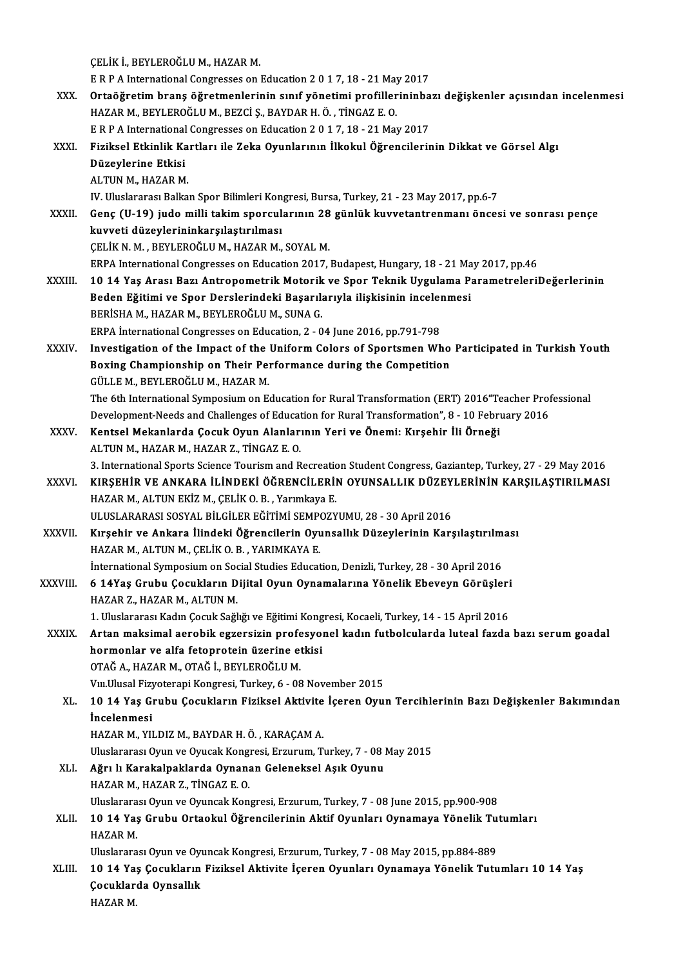ÇELİKİ.,BEYLEROĞLUM.,HAZARM. ÇELİK İ., BEYLEROĞLU M., HAZAR M.<br>E R P A International Congresses on Education 2 0 1 7, 18 - 21 May 2017<br>Ontağğustim brans öğretmenlerinin sınıf vönetimi nusfillerininde CELİK İ., BEYLEROĞLU M., HAZAR M.<br>E R P A International Congresses on Education 2 0 1 7, 18 - 21 May 2017<br>XXX. Ortaöğretim branş öğretmenlerinin sınıf yönetimi profillerininbazı değişkenler açısından incelenmesi E R P A International Congresses on Education 2 0 1 7, 18 - 21 May<br>Ortaöğretim branş öğretmenlerinin sınıf yönetimi profiller<br>HAZAR M., BEYLEROĞLU M., BEZCİ Ş., BAYDAR H. Ö. , TİNGAZ E. O.<br>E R R A International Congresses Ortaöğretim branş öğretmenlerinin sınıf yönetimi profillerininba<br>HAZAR M., BEYLEROĞLU M., BEZCİ Ş., BAYDAR H. Ö. , TİNGAZ E. O.<br>E R P A International Congresses on Education 2 0 1 7, 18 - 21 May 2017<br>Fizikçel Etkinlik Kart HAZAR M., BEYLEROĞLU M., BEZCİ Ş., BAYDAR H. Ö. , TİNGAZ E. O.<br>E R P A International Congresses on Education 2 0 1 7, 18 - 21 May 2017<br>XXXI. Fiziksel Etkinlik Kartları ile Zeka Oyunlarının İlkokul Öğrencilerinin Dikkat ERPA International Congresses on Education 2 0 1 7, 18 - 21 May 2017<br>Fiziksel Etkinlik Kartları ile Zeka Oyunlarının İlkokul Öğrencileri<br>Düzeylerine Etkisi<br>ALTUN M., HAZAR M. Fiziksel Etkinlik Ka<br>Düzeylerine Etkisi<br>ALTUN M., HAZAR M.<br>W. Uluslararası Pallm IV.UluslararasıBalkanSporBilimleriKongresi,Bursa,Turkey,21 -23May2017,pp.6-7 ALTUN M., HAZAR M.<br>IV. Uluslararası Balkan Spor Bilimleri Kongresi, Bursa, Turkey, 21 - 23 May 2017, pp.6-7<br>XXXII. Genç (U-19) judo milli takim sporcularının 28 günlük kuvvetantrenmanı öncesi ve sonrası pençe<br>Isuvyeti IV. Uluslararası Balkan Spor Bilimleri Kon<br>Genç (U-19) judo milli takim sporcul<br>kuvveti düzeylerininkarşılaştırılması<br>CELİK N. M., PEVLEROČLU M. HAZAR M. Genç (U-19) judo milli takim sporcularının 28<br>kuvveti düzeylerininkarşılaştırılması<br>ÇELİK N. M. , BEYLEROĞLU M., HAZAR M., SOYAL M.<br>EPPA International Congresses on Education 2017 kuvveti düzeylerininkarşılaştırılması<br>ÇELİK N. M. , BEYLEROĞLU M., HAZAR M., SOYAL M.<br>ERPA International Congresses on Education 2017, Budapest, Hungary, 18 - 21 May 2017, pp.46 CELİK N. M. , BEYLEROĞLU M., HAZAR M., SOYAL M.<br>ERPA International Congresses on Education 2017, Budapest, Hungary, 18 - 21 May 2017, pp.46<br>XXXIII. 10 14 Yaş Arası Bazı Antropometrik Motorik ve Spor Teknik Uygulama Paramet ERPA International Congresses on Education 2017, Budapest, Hungary, 18 - 21 Ma<br>10 14 Yaş Arası Bazı Antropometrik Motorik ve Spor Teknik Uygulama P:<br>Beden Eğitimi ve Spor Derslerindeki Başarılarıyla ilişkisinin incelenmesi 10 14 Yaş Arası Bazı Antropometrik Motorik<br>Beden Eğitimi ve Spor Derslerindeki Başarılı<br>BERİSHA M., HAZAR M., BEYLEROĞLU M., SUNA G.<br>EPPA İnternational Congresses en Edusation 3 - 0 Beden Eğitimi ve Spor Derslerindeki Başarılarıyla ilişkisinin incelenmesi<br>BERİSHA M., HAZAR M., BEYLEROĞLU M., SUNA G.<br>ERPA İnternational Congresses on Education, 2 - 04 June 2016, pp.791-798 BERISHA M., HAZAR M., BEYLEROĞLU M., SUNA G.<br>ERPA İnternational Congresses on Education, 2 - 04 June 2016, pp.791-798<br>XXXIV. Investigation of the Impact of the Uniform Colors of Sportsmen Who Participated in Turkish Youth<br> ERPA International Congresses on Education, 2 - 04 June 2016, pp.791-798<br>Investigation of the Impact of the Uniform Colors of Sportsmen Who<br>Boxing Championship on Their Performance during the Competition<br>CÜLLEM PEVLEROČLUM Boxing Championship on Their Performance during the Competition GÜLLE M., BEYLEROĞLU M., HAZAR M. Boxing Championship on Their Performance during the Competition<br>GÜLLE M., BEYLEROĞLU M., HAZAR M.<br>The 6th International Symposium on Education for Rural Transformation (ERT) 2016"Teacher Professional<br>Development Needs and GÜLLE M., BEYLEROĞLU M., HAZAR M.<br>The 6th International Symposium on Education for Rural Transformation (ERT) 2016"Teacher Prof<br>Development-Needs and Challenges of Education for Rural Transformation", 8 - 10 February 2016<br> The 6th International Symposium on Education for Rural Transformation (ERT) 2016"Te<br>Development-Needs and Challenges of Education for Rural Transformation", 8 - 10 Febru<br>XXXV. Kentsel Mekanlarda Çocuk Oyun Alanlarının Yeri Development-Needs and Challenges of Educat<br>Kentsel Mekanlarda Çocuk Oyun Alanlar<br>ALTUN M., HAZAR M., HAZAR Z., TİNGAZ E. O.<br>2. International Sports Ssionee Tourism and B Kentsel Mekanlarda Çocuk Oyun Alanlarının Yeri ve Önemi: Kırşehir İli Örneği<br>ALTUN M., HAZAR M., HAZAR Z., TİNGAZ E. O.<br>3. International Sports Science Tourism and Recreation Student Congress, Gaziantep, Turkey, 27 - 29 Ma ALTUN M., HAZAR M., HAZAR Z., TİNGAZ E. O.<br>3. International Sports Science Tourism and Recreation Student Congress, Gaziantep, Turkey, 27 - 29 May 2016<br>XXXVI. KIRŞEHİR VE ANKARA İLİNDEKİ ÖĞRENCİLERİN OYUNSALLIK DÜZEYLE 3. International Sports Science Tourism and Recreation<br>KIRŞEHİR VE ANKARA İLİNDEKİ ÖĞRENCİLERİ<br>HAZAR M., ALTUN EKİZ M., ÇELİK O. B. , Yarımkaya E.<br>ULUSLARARASI SOSYAL PİLCİLER EĞİTİMİ SEMBOZY KIRŞEHİR VE ANKARA İLİNDEKİ ÖĞRENCİLERİN OYUNSALLIK DÜZEYLERİNİN KARŞILAŞTIRILMASI<br>HAZAR M., ALTUN EKİZ M., ÇELİK O. B. , Yarımkaya E. HAZAR M., ALTUN EKİZ M., ÇELİK O. B. , Yarımkaya E.<br>ULUSLARARASI SOSYAL BİLGİLER EĞİTİMİ SEMPOZYUMU, 28 - 30 April 2016<br>XXXVII. Kırşehir ve Ankara İlindeki Öğrencilerin Oyunsallık Düzeylerinin Karşılaştırılması<br>HAZAR M ULUSLARARASI SOSYAL BİLGİLER EĞİTİMİ SEMPOZYUMU, 28 - 30 April 2016<br>Kırşehir ve Ankara İlindeki Öğrencilerin Oyunsallık Düzeylerinin Karşılaştırılm<br>HAZAR M., ALTUN M., ÇELİK O.B. , YARIMKAYA E.<br>İnternational Symposium on S Kırşehir ve Ankara İlindeki Öğrencilerin Oyunsallık Düzeylerinin Karşılaştırılm<br>HAZAR M., ALTUN M., ÇELİK O. B. , YARIMKAYA E.<br>İnternational Symposium on Social Studies Education, Denizli, Turkey, 28 - 30 April 2016<br>6 14Ya HAZAR M., ALTUN M., ÇELİK O. B. , YARIMKAYA E.<br>İnternational Symposium on Social Studies Education, Denizli, Turkey, 28 - 30 April 2016<br>XXXVIII. 6 14Yaş Grubu Çocukların Dijital Oyun Oynamalarına Yönelik Ebeveyn Görüşleri<br> International Symposium on Soo<br>6 14Yaş Grubu Çocukların D<br>HAZAR Z., HAZAR M., ALTUN M.<br>1 Hluslararası Kadın Casul: Sağl 6 14Yaş Grubu Çocukların Dijital Oyun Oynamalarına Yönelik Ebeveyn Görüşleri<br>HAZAR Z., HAZAR M., ALTUN M.<br>1. Uluslararası Kadın Çocuk Sağlığı ve Eğitimi Kongresi, Kocaeli, Turkey, 14 - 15 April 2016<br>Artan maksimal aspabili HAZAR Z., HAZAR M., ALTUN M.<br>1. Uluslararası Kadın Çocuk Sağlığı ve Eğitimi Kongresi, Kocaeli, Turkey, 14 - 15 April 2016<br>2011 - XXXIX. Artan maksimal aerobik egzersizin profesyonel kadın futbolcularda luteal fazda bazı se 1. Uluslararası Kadın Çocuk Sağlığı ve Eğitimi Kong<br>Artan maksimal aerobik egzersizin profesyol<br>hormonlar ve alfa fetoprotein üzerine etkisi<br>QTAČ A. HAZAR M. QTAČ İ. REVLEROČLUM Artan maksimal aerobik egzersizin profe<br>hormonlar ve alfa fetoprotein üzerine et<br>OTAĞ A., HAZAR M., OTAĞ İ., BEYLEROĞLU M.<br>V.u Ulucal Eizyoteroni Kongresi Turkey 6., AS hormonlar ve alfa fetoprotein üzerine etkisi<br>OTAĞ A., HAZAR M., OTAĞ İ., BEYLEROĞLU M.<br>Vıı.Ulusal Fizyoterapi Kongresi, Turkey, 6 - 08 November 2015<br>10.14 Yas Crubu Cosukların Fiziksel Aktivite İseren Oyu. OTAĞ A., HAZAR M., OTAĞ İ., BEYLEROĞLU M.<br>V.I. Ulusal Fizyoterapi Kongresi, Turkey, 6 - 08 November 2015<br>XL. 10 14 Yaş Grubu Çocukların Fiziksel Aktivite İçeren Oyun Tercihlerinin Bazı Değişkenler Bakımından<br>İncelenmes Vm.Ulusal Fizy<br>10 14 Yaş Gı<br>İncelenmesi<br>HAZAR M. VU HAZARM.,YILDIZM.,BAYDARH.Ö. ,KARAÇAMA. İncelenmesi<br>HAZAR M., YILDIZ M., BAYDAR H. Ö. , KARAÇAM A.<br>Uluslararası Oyun ve Oyucak Kongresi, Erzurum, Turkey, 7 - 08 May 2015<br>Ağrı lı Karakalnaklarda Oynanan Galanaksal Asık Oyunu XLI. Ağrı lı Karakalpaklarda Oynanan Geleneksel Aşık Oyunu Uluslararası Oyun ve Oyucak Kongi<br><mark>Ağrı lı Karakalpaklarda Oynan</mark>a<br>HAZAR M., HAZAR Z., TİNGAZ E. O.<br>Hluslararası Oyun ve Oyungak Kon Ağrı lı Karakalpaklarda Oynanan Geleneksel Aşık Oyunu<br>HAZAR M., HAZAR Z., TİNGAZ E. O.<br>Uluslararası Oyun ve Oyuncak Kongresi, Erzurum, Turkey, 7 - 08 June 2015, pp.900-908<br>10 14 Yas Crubu Ortaalul Öğrensilerinin Aktif Oyun HAZAR M., HAZAR Z., TİNGAZ E. O.<br>Uluslararası Oyun ve Oyuncak Kongresi, Erzurum, Turkey, 7 - 08 June 2015, pp.900-908<br>XLII. 10 14 Yaş Grubu Ortaokul Öğrencilerinin Aktif Oyunları Oynamaya Yönelik Tutumları<br>HAZAR M Uluslarara<br>**10 14 Ya**ş<br>HAZAR M.<br>Uluslarara 10 14 Yaş Grubu Ortaokul Öğrencilerinin Aktif Oyunları Oynamaya Yönelik Tu<br>HAZAR M.<br>Uluslararası Oyun ve Oyuncak Kongresi, Erzurum, Turkey, 7 - 08 May 2015, pp.884-889<br>10 14 Yas Cosukların Eirikeel Aktivite İseren Oyunları XLIII. 10 142 HAZAR M.<br>10 Uluslararası Oyun ve Oyuncak Kongresi, Erzurum, Turkey, 7 - 08 May 2015, pp.884-889<br>10 14 Yaş Çocukların Fiziksel Aktivite İçeren Oyunları Oynamaya Yönelik Tutumları 10 14 Yaş Uluslararası Oyun ve Oyuncak Kongresi, Erzurum, Turkey, 7 - 08 May 2015, pp.884-889<br>10 14 Yaş Çocukların Fiziksel Aktivite İçeren Oyunları Oynamaya Yönelik Tutı<br>Çocuklarda Oynsallık<br>HAZAR M. Çocuklarda Oynsallık